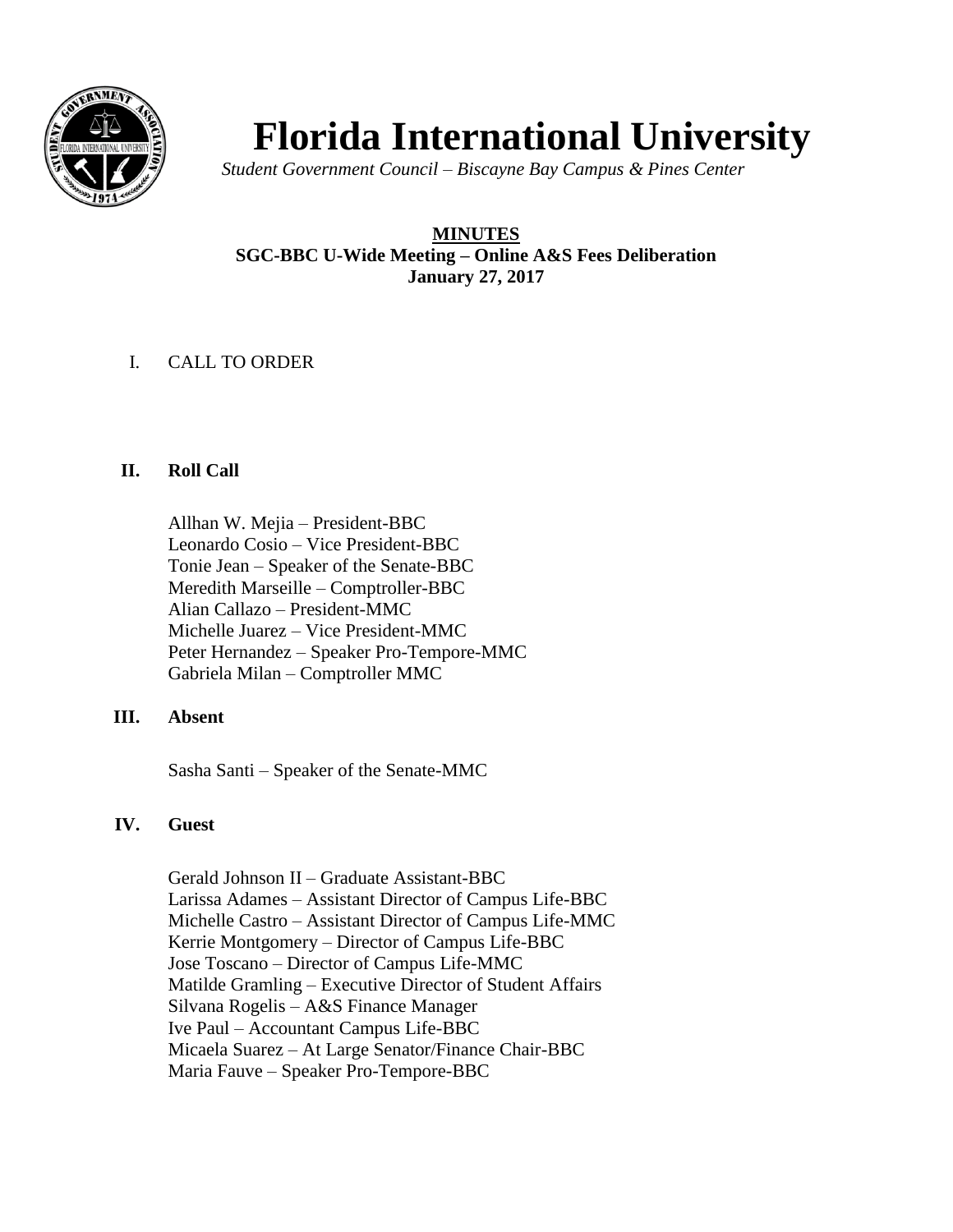

# **Florida International University**

*Student Government Council – Biscayne Bay Campus & Pines Center* 

# **MINUTES SGC-BBC U-Wide Meeting – Online A&S Fees Deliberation January 27, 2017**

# I. CALL TO ORDER

# **II. Roll Call**

Allhan W. Mejia – President-BBC Leonardo Cosio – Vice President-BBC Tonie Jean – Speaker of the Senate-BBC Meredith Marseille – Comptroller-BBC Alian Callazo – President-MMC Michelle Juarez – Vice President-MMC Peter Hernandez – Speaker Pro-Tempore-MMC Gabriela Milan – Comptroller MMC

# **III. Absent**

Sasha Santi – Speaker of the Senate-MMC

# **IV. Guest**

Gerald Johnson II – Graduate Assistant-BBC Larissa Adames – Assistant Director of Campus Life-BBC Michelle Castro – Assistant Director of Campus Life-MMC Kerrie Montgomery – Director of Campus Life-BBC Jose Toscano – Director of Campus Life-MMC Matilde Gramling – Executive Director of Student Affairs Silvana Rogelis – A&S Finance Manager Ive Paul – Accountant Campus Life-BBC Micaela Suarez – At Large Senator/Finance Chair-BBC Maria Fauve – Speaker Pro-Tempore-BBC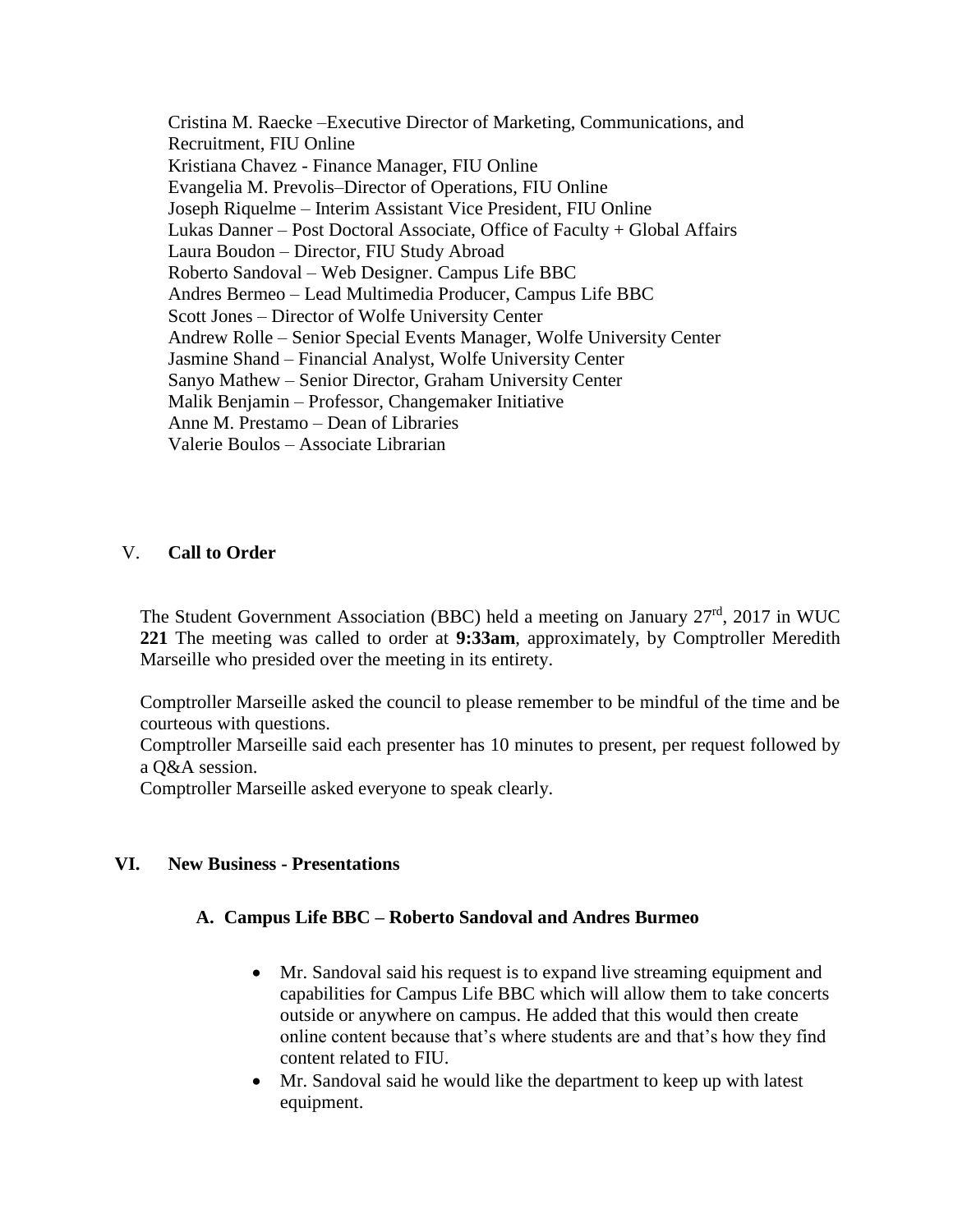Cristina M. Raecke –Executive Director of Marketing, Communications, and Recruitment, FIU Online Kristiana Chavez - Finance Manager, FIU Online Evangelia M. Prevolis–Director of Operations, FIU Online Joseph Riquelme – Interim Assistant Vice President, FIU Online Lukas Danner – Post Doctoral Associate, Office of Faculty + Global Affairs Laura Boudon – Director, FIU Study Abroad Roberto Sandoval – Web Designer. Campus Life BBC Andres Bermeo – Lead Multimedia Producer, Campus Life BBC Scott Jones – Director of Wolfe University Center Andrew Rolle – Senior Special Events Manager, Wolfe University Center Jasmine Shand – Financial Analyst, Wolfe University Center Sanyo Mathew – Senior Director, Graham University Center Malik Benjamin – Professor, Changemaker Initiative Anne M. Prestamo – Dean of Libraries Valerie Boulos – Associate Librarian

#### V. **Call to Order**

The Student Government Association (BBC) held a meeting on January  $27<sup>rd</sup>$ , 2017 in WUC **221** The meeting was called to order at **9:33am**, approximately, by Comptroller Meredith Marseille who presided over the meeting in its entirety.

Comptroller Marseille asked the council to please remember to be mindful of the time and be courteous with questions.

Comptroller Marseille said each presenter has 10 minutes to present, per request followed by a Q&A session.

Comptroller Marseille asked everyone to speak clearly.

#### **VI. New Business - Presentations**

# **A. Campus Life BBC – Roberto Sandoval and Andres Burmeo**

- Mr. Sandoval said his request is to expand live streaming equipment and capabilities for Campus Life BBC which will allow them to take concerts outside or anywhere on campus. He added that this would then create online content because that's where students are and that's how they find content related to FIU.
- Mr. Sandoval said he would like the department to keep up with latest equipment.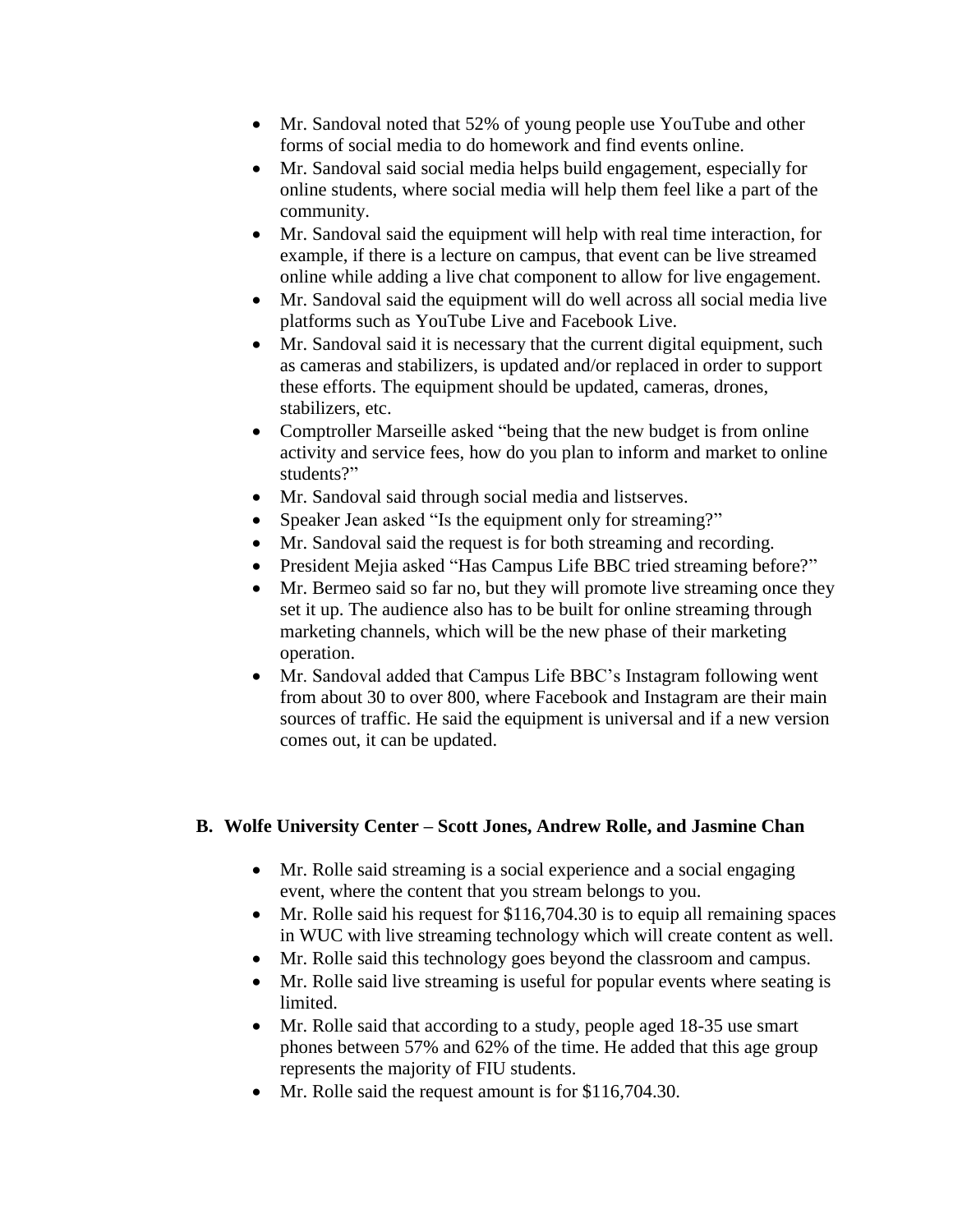- Mr. Sandoval noted that 52% of young people use YouTube and other forms of social media to do homework and find events online.
- Mr. Sandoval said social media helps build engagement, especially for online students, where social media will help them feel like a part of the community.
- Mr. Sandoval said the equipment will help with real time interaction, for example, if there is a lecture on campus, that event can be live streamed online while adding a live chat component to allow for live engagement.
- Mr. Sandoval said the equipment will do well across all social media live platforms such as YouTube Live and Facebook Live.
- Mr. Sandoval said it is necessary that the current digital equipment, such as cameras and stabilizers, is updated and/or replaced in order to support these efforts. The equipment should be updated, cameras, drones, stabilizers, etc.
- Comptroller Marseille asked "being that the new budget is from online activity and service fees, how do you plan to inform and market to online students?"
- Mr. Sandoval said through social media and listserves.
- Speaker Jean asked "Is the equipment only for streaming?"
- Mr. Sandoval said the request is for both streaming and recording.
- President Mejia asked "Has Campus Life BBC tried streaming before?"
- Mr. Bermeo said so far no, but they will promote live streaming once they set it up. The audience also has to be built for online streaming through marketing channels, which will be the new phase of their marketing operation.
- Mr. Sandoval added that Campus Life BBC's Instagram following went from about 30 to over 800, where Facebook and Instagram are their main sources of traffic. He said the equipment is universal and if a new version comes out, it can be updated.

# **B. Wolfe University Center – Scott Jones, Andrew Rolle, and Jasmine Chan**

- Mr. Rolle said streaming is a social experience and a social engaging event, where the content that you stream belongs to you.
- Mr. Rolle said his request for \$116,704.30 is to equip all remaining spaces in WUC with live streaming technology which will create content as well.
- Mr. Rolle said this technology goes beyond the classroom and campus.
- Mr. Rolle said live streaming is useful for popular events where seating is limited.
- Mr. Rolle said that according to a study, people aged 18-35 use smart phones between 57% and 62% of the time. He added that this age group represents the majority of FIU students.
- Mr. Rolle said the request amount is for \$116,704.30.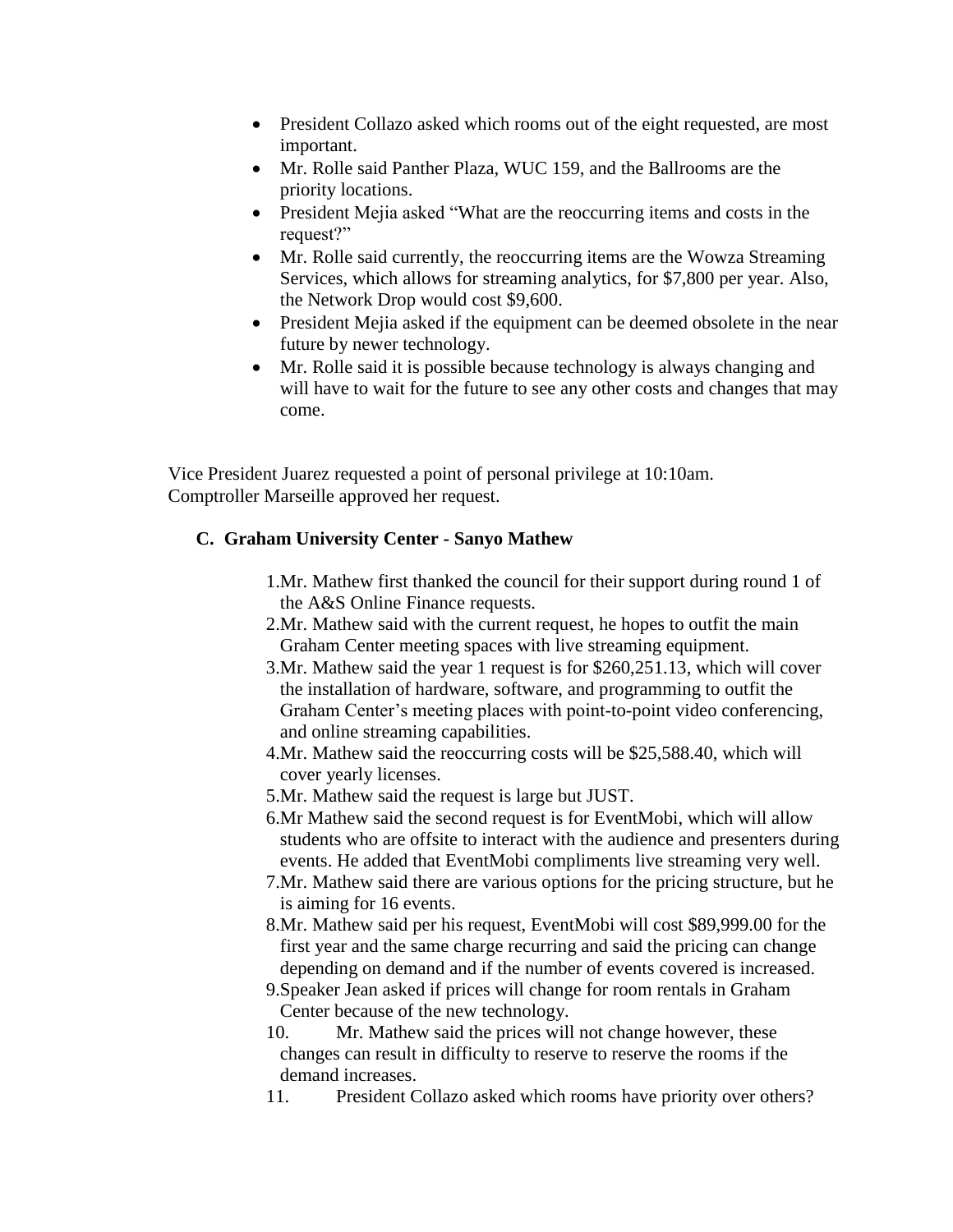- President Collazo asked which rooms out of the eight requested, are most important.
- Mr. Rolle said Panther Plaza, WUC 159, and the Ballrooms are the priority locations.
- President Mejia asked "What are the reoccurring items and costs in the request?"
- Mr. Rolle said currently, the reoccurring items are the Wowza Streaming Services, which allows for streaming analytics, for \$7,800 per year. Also, the Network Drop would cost \$9,600.
- President Mejia asked if the equipment can be deemed obsolete in the near future by newer technology.
- Mr. Rolle said it is possible because technology is always changing and will have to wait for the future to see any other costs and changes that may come.

Vice President Juarez requested a point of personal privilege at 10:10am. Comptroller Marseille approved her request.

# **C. Graham University Center - Sanyo Mathew**

- 1.Mr. Mathew first thanked the council for their support during round 1 of the A&S Online Finance requests.
- 2.Mr. Mathew said with the current request, he hopes to outfit the main Graham Center meeting spaces with live streaming equipment.
- 3.Mr. Mathew said the year 1 request is for \$260,251.13, which will cover the installation of hardware, software, and programming to outfit the Graham Center's meeting places with point-to-point video conferencing, and online streaming capabilities.
- 4.Mr. Mathew said the reoccurring costs will be \$25,588.40, which will cover yearly licenses.
- 5.Mr. Mathew said the request is large but JUST.
- 6.Mr Mathew said the second request is for EventMobi, which will allow students who are offsite to interact with the audience and presenters during events. He added that EventMobi compliments live streaming very well.
- 7.Mr. Mathew said there are various options for the pricing structure, but he is aiming for 16 events.
- 8.Mr. Mathew said per his request, EventMobi will cost \$89,999.00 for the first year and the same charge recurring and said the pricing can change depending on demand and if the number of events covered is increased.
- 9.Speaker Jean asked if prices will change for room rentals in Graham Center because of the new technology.
- 10. Mr. Mathew said the prices will not change however, these changes can result in difficulty to reserve to reserve the rooms if the demand increases.
- 11. President Collazo asked which rooms have priority over others?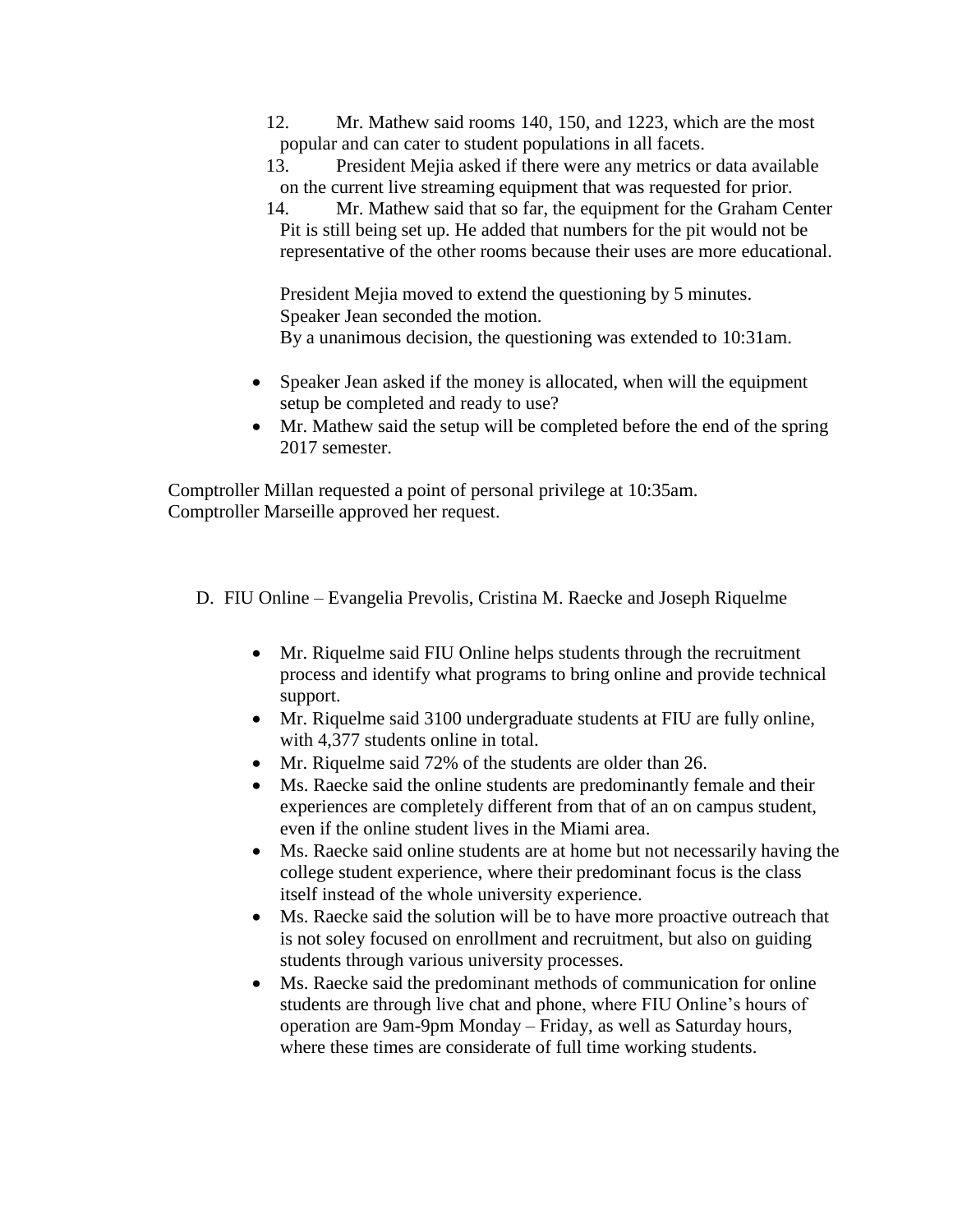12. Mr. Mathew said rooms 140, 150, and 1223, which are the most popular and can cater to student populations in all facets.

13. President Mejia asked if there were any metrics or data available on the current live streaming equipment that was requested for prior.

14. Mr. Mathew said that so far, the equipment for the Graham Center Pit is still being set up. He added that numbers for the pit would not be representative of the other rooms because their uses are more educational.

President Mejia moved to extend the questioning by 5 minutes. Speaker Jean seconded the motion. By a unanimous decision, the questioning was extended to 10:31am.

- Speaker Jean asked if the money is allocated, when will the equipment setup be completed and ready to use?
- Mr. Mathew said the setup will be completed before the end of the spring 2017 semester.

Comptroller Millan requested a point of personal privilege at 10:35am. Comptroller Marseille approved her request.

D. FIU Online – Evangelia Prevolis, Cristina M. Raecke and Joseph Riquelme

- Mr. Riquelme said FIU Online helps students through the recruitment process and identify what programs to bring online and provide technical support.
- Mr. Riquelme said 3100 undergraduate students at FIU are fully online, with 4,377 students online in total.
- Mr. Riquelme said 72% of the students are older than 26.
- Ms. Raecke said the online students are predominantly female and their experiences are completely different from that of an on campus student, even if the online student lives in the Miami area.
- Ms. Raecke said online students are at home but not necessarily having the college student experience, where their predominant focus is the class itself instead of the whole university experience.
- Ms. Raecke said the solution will be to have more proactive outreach that is not soley focused on enrollment and recruitment, but also on guiding students through various university processes.
- Ms. Raecke said the predominant methods of communication for online students are through live chat and phone, where FIU Online's hours of operation are 9am-9pm Monday – Friday, as well as Saturday hours, where these times are considerate of full time working students.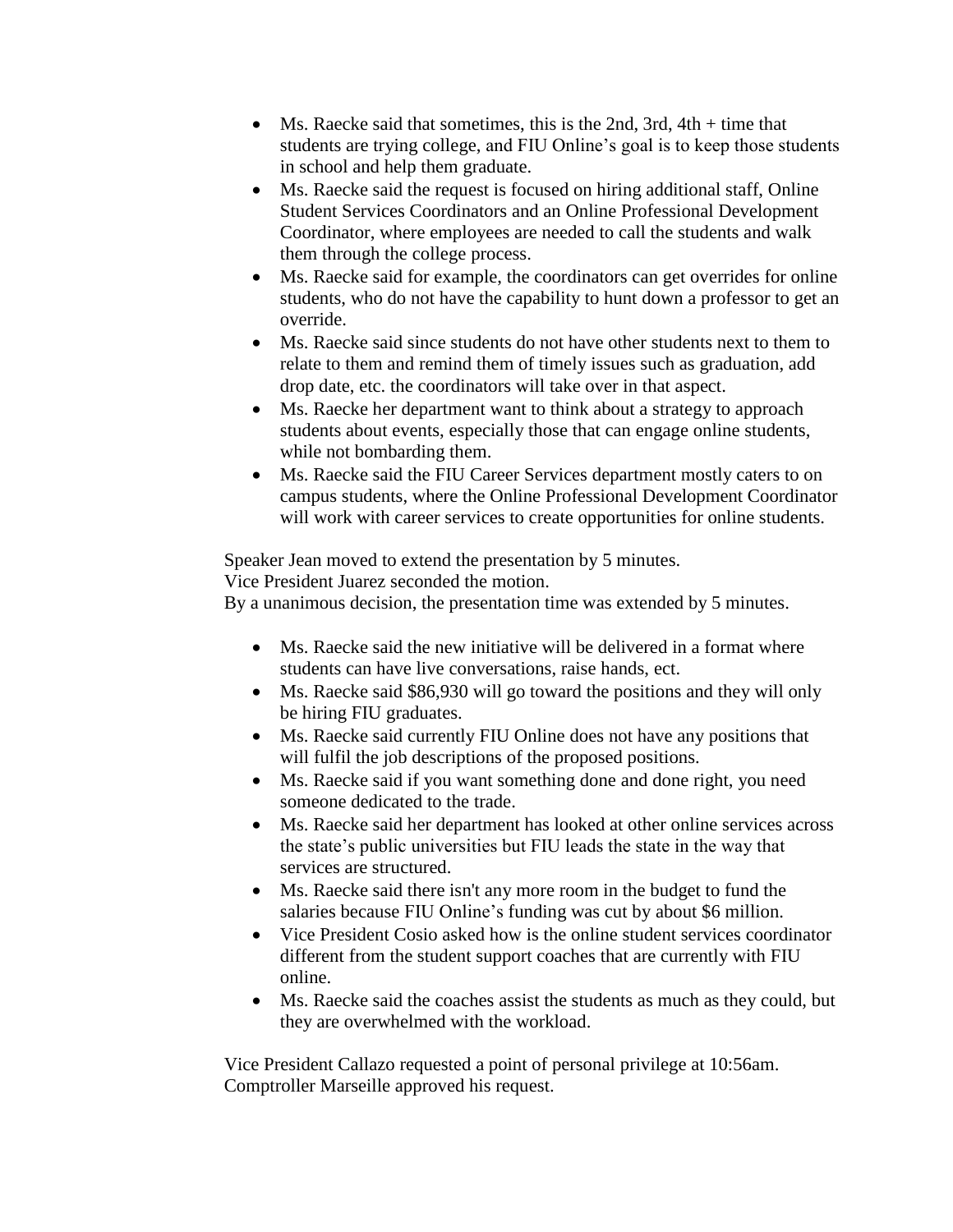- Ms. Raecke said that sometimes, this is the 2nd, 3rd,  $4th + time$  that students are trying college, and FIU Online's goal is to keep those students in school and help them graduate.
- Ms. Raecke said the request is focused on hiring additional staff, Online Student Services Coordinators and an Online Professional Development Coordinator, where employees are needed to call the students and walk them through the college process.
- Ms. Raecke said for example, the coordinators can get overrides for online students, who do not have the capability to hunt down a professor to get an override.
- Ms. Raecke said since students do not have other students next to them to relate to them and remind them of timely issues such as graduation, add drop date, etc. the coordinators will take over in that aspect.
- Ms. Raecke her department want to think about a strategy to approach students about events, especially those that can engage online students, while not bombarding them.
- Ms. Raecke said the FIU Career Services department mostly caters to on campus students, where the Online Professional Development Coordinator will work with career services to create opportunities for online students.

Speaker Jean moved to extend the presentation by 5 minutes.

Vice President Juarez seconded the motion.

By a unanimous decision, the presentation time was extended by 5 minutes.

- Ms. Raecke said the new initiative will be delivered in a format where students can have live conversations, raise hands, ect.
- Ms. Raecke said \$86,930 will go toward the positions and they will only be hiring FIU graduates.
- Ms. Raecke said currently FIU Online does not have any positions that will fulfil the job descriptions of the proposed positions.
- Ms. Raecke said if you want something done and done right, you need someone dedicated to the trade.
- Ms. Raecke said her department has looked at other online services across the state's public universities but FIU leads the state in the way that services are structured.
- Ms. Raecke said there isn't any more room in the budget to fund the salaries because FIU Online's funding was cut by about \$6 million.
- Vice President Cosio asked how is the online student services coordinator different from the student support coaches that are currently with FIU online.
- Ms. Raecke said the coaches assist the students as much as they could, but they are overwhelmed with the workload.

Vice President Callazo requested a point of personal privilege at 10:56am. Comptroller Marseille approved his request.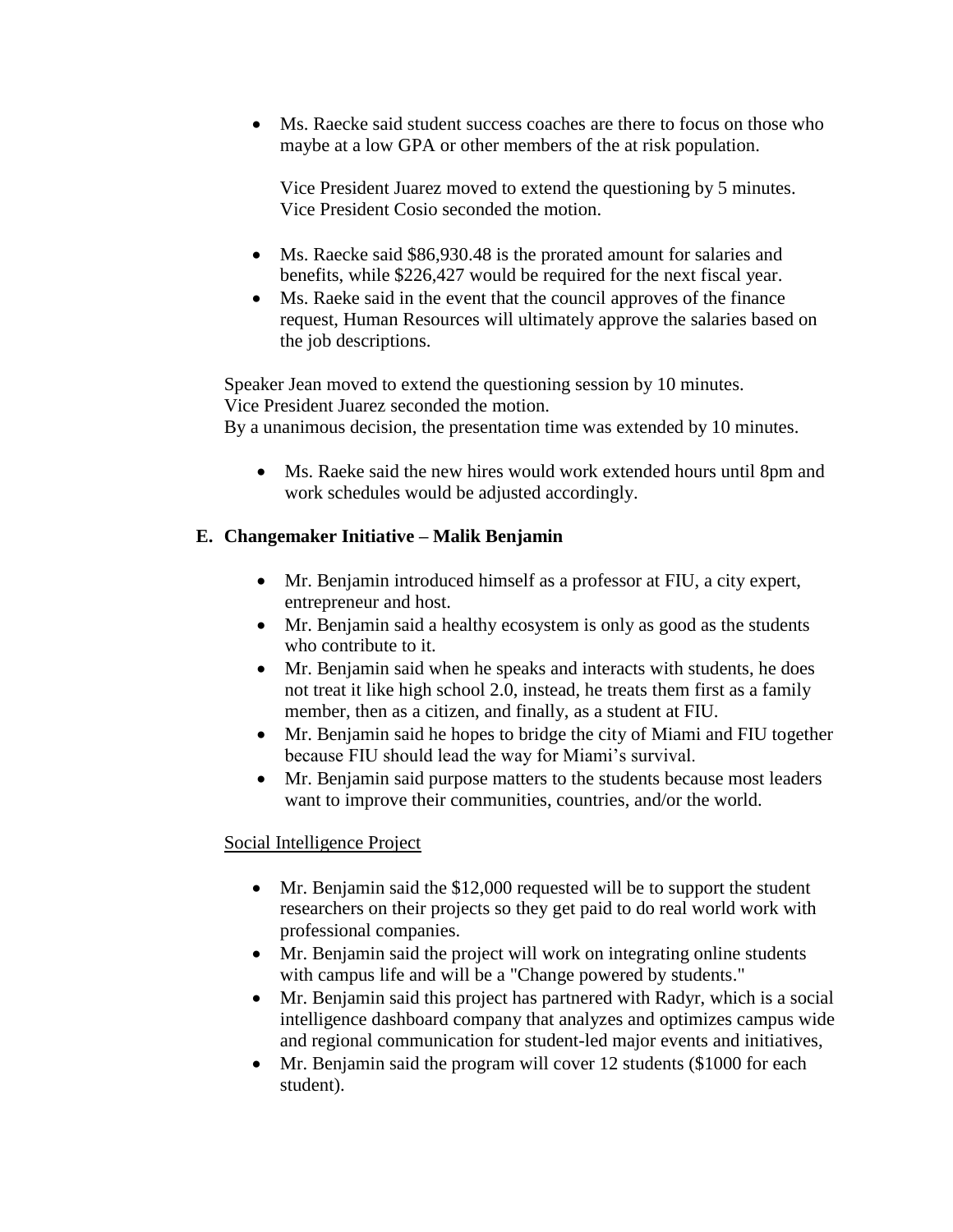• Ms. Raecke said student success coaches are there to focus on those who maybe at a low GPA or other members of the at risk population.

Vice President Juarez moved to extend the questioning by 5 minutes. Vice President Cosio seconded the motion.

- Ms. Raecke said \$86,930.48 is the prorated amount for salaries and benefits, while \$226,427 would be required for the next fiscal year.
- Ms. Raeke said in the event that the council approves of the finance request, Human Resources will ultimately approve the salaries based on the job descriptions.

Speaker Jean moved to extend the questioning session by 10 minutes. Vice President Juarez seconded the motion. By a unanimous decision, the presentation time was extended by 10 minutes.

• Ms. Raeke said the new hires would work extended hours until 8pm and work schedules would be adjusted accordingly.

# **E. Changemaker Initiative – Malik Benjamin**

- Mr. Benjamin introduced himself as a professor at FIU, a city expert, entrepreneur and host.
- Mr. Benjamin said a healthy ecosystem is only as good as the students who contribute to it.
- Mr. Benjamin said when he speaks and interacts with students, he does not treat it like high school 2.0, instead, he treats them first as a family member, then as a citizen, and finally, as a student at FIU.
- Mr. Benjamin said he hopes to bridge the city of Miami and FIU together because FIU should lead the way for Miami's survival.
- Mr. Benjamin said purpose matters to the students because most leaders want to improve their communities, countries, and/or the world.

# Social Intelligence Project

- Mr. Benjamin said the \$12,000 requested will be to support the student researchers on their projects so they get paid to do real world work with professional companies.
- Mr. Benjamin said the project will work on integrating online students with campus life and will be a "Change powered by students."
- Mr. Benjamin said this project has partnered with Radyr, which is a social intelligence dashboard company that analyzes and optimizes campus wide and regional communication for student-led major events and initiatives,
- Mr. Benjamin said the program will cover 12 students (\$1000 for each student).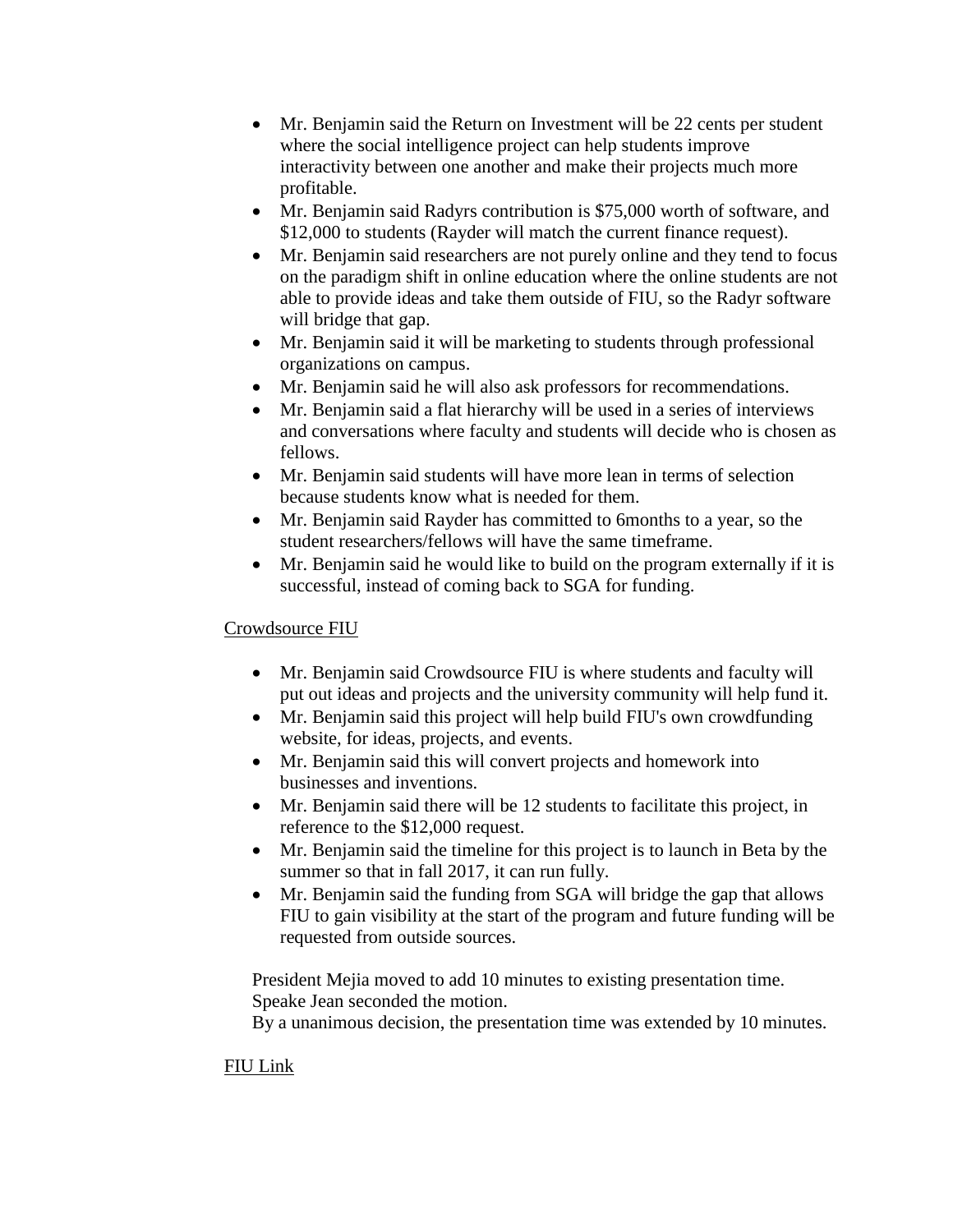- Mr. Benjamin said the Return on Investment will be 22 cents per student where the social intelligence project can help students improve interactivity between one another and make their projects much more profitable.
- Mr. Benjamin said Radyrs contribution is \$75,000 worth of software, and \$12,000 to students (Rayder will match the current finance request).
- Mr. Benjamin said researchers are not purely online and they tend to focus on the paradigm shift in online education where the online students are not able to provide ideas and take them outside of FIU, so the Radyr software will bridge that gap.
- Mr. Benjamin said it will be marketing to students through professional organizations on campus.
- Mr. Benjamin said he will also ask professors for recommendations.
- Mr. Benjamin said a flat hierarchy will be used in a series of interviews and conversations where faculty and students will decide who is chosen as fellows.
- Mr. Benjamin said students will have more lean in terms of selection because students know what is needed for them.
- Mr. Benjamin said Rayder has committed to 6months to a year, so the student researchers/fellows will have the same timeframe.
- Mr. Benjamin said he would like to build on the program externally if it is successful, instead of coming back to SGA for funding.

# Crowdsource FIU

- Mr. Benjamin said Crowdsource FIU is where students and faculty will put out ideas and projects and the university community will help fund it.
- Mr. Benjamin said this project will help build FIU's own crowdfunding website, for ideas, projects, and events.
- Mr. Benjamin said this will convert projects and homework into businesses and inventions.
- Mr. Benjamin said there will be 12 students to facilitate this project, in reference to the \$12,000 request.
- Mr. Benjamin said the timeline for this project is to launch in Beta by the summer so that in fall 2017, it can run fully.
- Mr. Benjamin said the funding from SGA will bridge the gap that allows FIU to gain visibility at the start of the program and future funding will be requested from outside sources.

President Mejia moved to add 10 minutes to existing presentation time. Speake Jean seconded the motion.

By a unanimous decision, the presentation time was extended by 10 minutes.

# FIU Link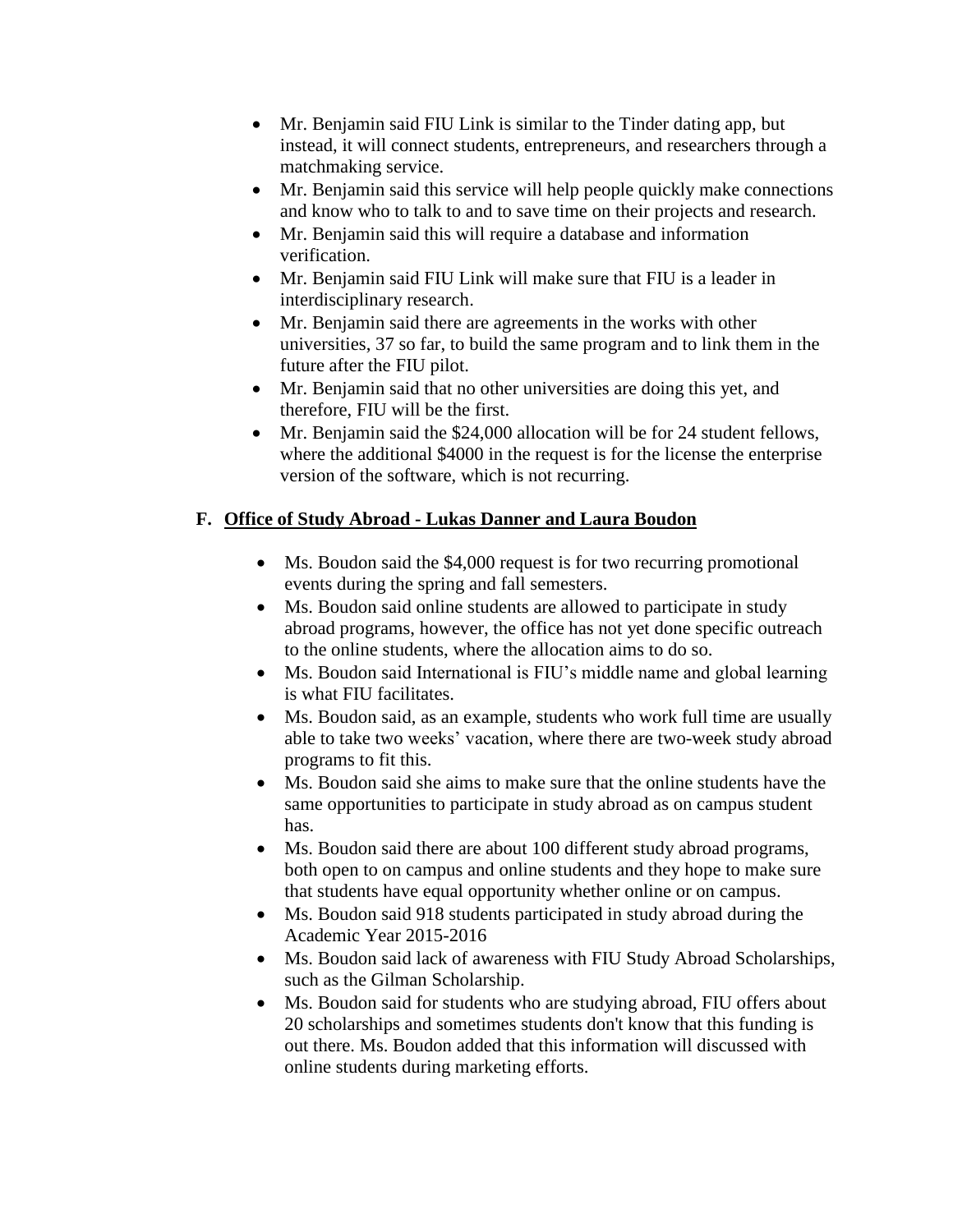- Mr. Benjamin said FIU Link is similar to the Tinder dating app, but instead, it will connect students, entrepreneurs, and researchers through a matchmaking service.
- Mr. Benjamin said this service will help people quickly make connections and know who to talk to and to save time on their projects and research.
- Mr. Benjamin said this will require a database and information verification.
- Mr. Benjamin said FIU Link will make sure that FIU is a leader in interdisciplinary research.
- Mr. Benjamin said there are agreements in the works with other universities, 37 so far, to build the same program and to link them in the future after the FIU pilot.
- Mr. Benjamin said that no other universities are doing this yet, and therefore, FIU will be the first.
- Mr. Benjamin said the \$24,000 allocation will be for 24 student fellows, where the additional \$4000 in the request is for the license the enterprise version of the software, which is not recurring.

# **F. Office of Study Abroad - Lukas Danner and Laura Boudon**

- Ms. Boudon said the \$4,000 request is for two recurring promotional events during the spring and fall semesters.
- Ms. Boudon said online students are allowed to participate in study abroad programs, however, the office has not yet done specific outreach to the online students, where the allocation aims to do so.
- Ms. Boudon said International is FIU's middle name and global learning is what FIU facilitates.
- Ms. Boudon said, as an example, students who work full time are usually able to take two weeks' vacation, where there are two-week study abroad programs to fit this.
- Ms. Boudon said she aims to make sure that the online students have the same opportunities to participate in study abroad as on campus student has.
- Ms. Boudon said there are about 100 different study abroad programs, both open to on campus and online students and they hope to make sure that students have equal opportunity whether online or on campus.
- Ms. Boudon said 918 students participated in study abroad during the Academic Year 2015-2016
- Ms. Boudon said lack of awareness with FIU Study Abroad Scholarships, such as the Gilman Scholarship.
- Ms. Boudon said for students who are studying abroad, FIU offers about 20 scholarships and sometimes students don't know that this funding is out there. Ms. Boudon added that this information will discussed with online students during marketing efforts.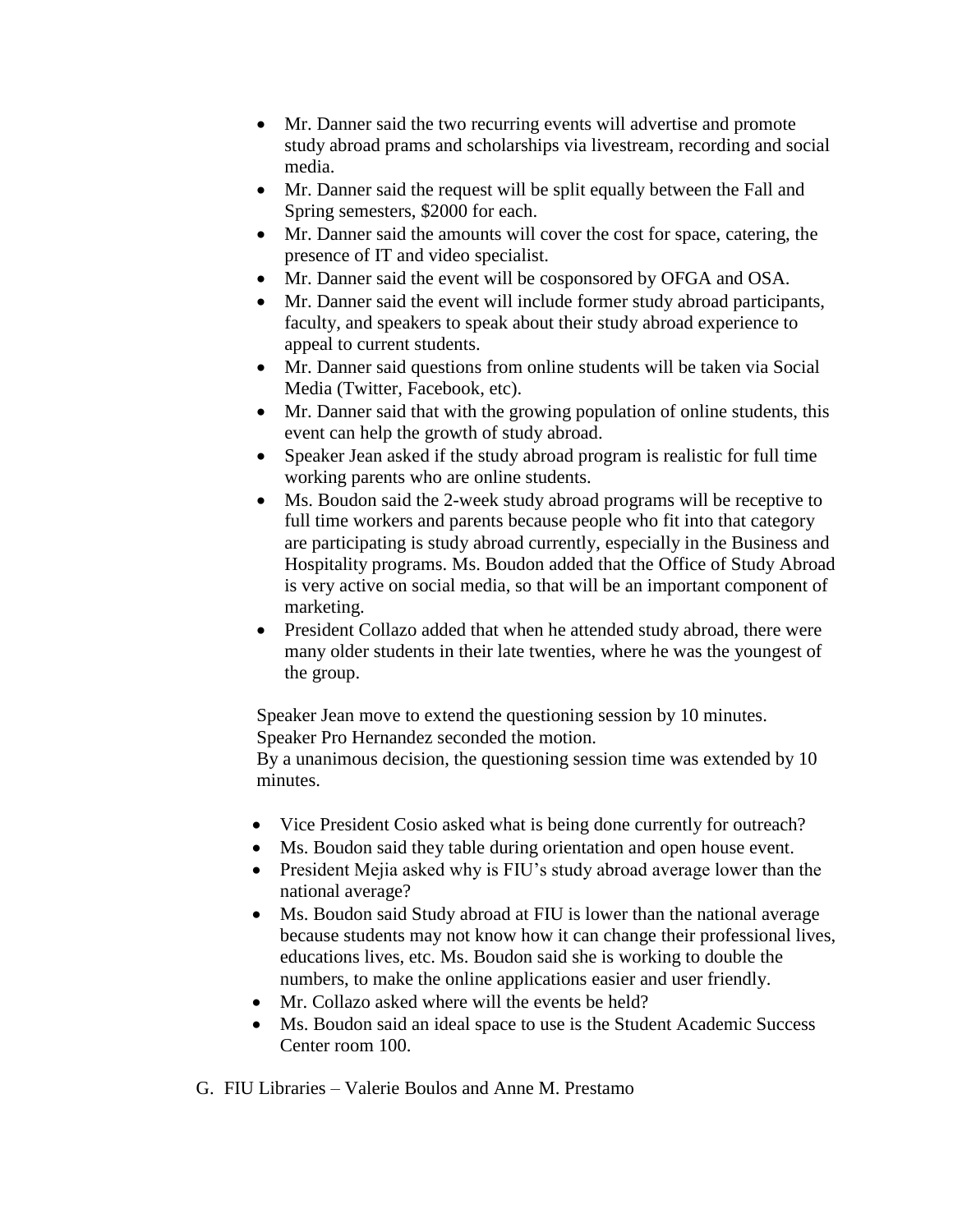- Mr. Danner said the two recurring events will advertise and promote study abroad prams and scholarships via livestream, recording and social media.
- Mr. Danner said the request will be split equally between the Fall and Spring semesters, \$2000 for each.
- Mr. Danner said the amounts will cover the cost for space, catering, the presence of IT and video specialist.
- Mr. Danner said the event will be cosponsored by OFGA and OSA.
- Mr. Danner said the event will include former study abroad participants, faculty, and speakers to speak about their study abroad experience to appeal to current students.
- Mr. Danner said questions from online students will be taken via Social Media (Twitter, Facebook, etc).
- Mr. Danner said that with the growing population of online students, this event can help the growth of study abroad.
- Speaker Jean asked if the study abroad program is realistic for full time working parents who are online students.
- Ms. Boudon said the 2-week study abroad programs will be receptive to full time workers and parents because people who fit into that category are participating is study abroad currently, especially in the Business and Hospitality programs. Ms. Boudon added that the Office of Study Abroad is very active on social media, so that will be an important component of marketing.
- President Collazo added that when he attended study abroad, there were many older students in their late twenties, where he was the youngest of the group.

Speaker Jean move to extend the questioning session by 10 minutes. Speaker Pro Hernandez seconded the motion.

By a unanimous decision, the questioning session time was extended by 10 minutes.

- Vice President Cosio asked what is being done currently for outreach?
- Ms. Boudon said they table during orientation and open house event.
- President Mejia asked why is FIU's study abroad average lower than the national average?
- Ms. Boudon said Study abroad at FIU is lower than the national average because students may not know how it can change their professional lives, educations lives, etc. Ms. Boudon said she is working to double the numbers, to make the online applications easier and user friendly.
- Mr. Collazo asked where will the events be held?
- Ms. Boudon said an ideal space to use is the Student Academic Success Center room 100.

G. FIU Libraries – Valerie Boulos and Anne M. Prestamo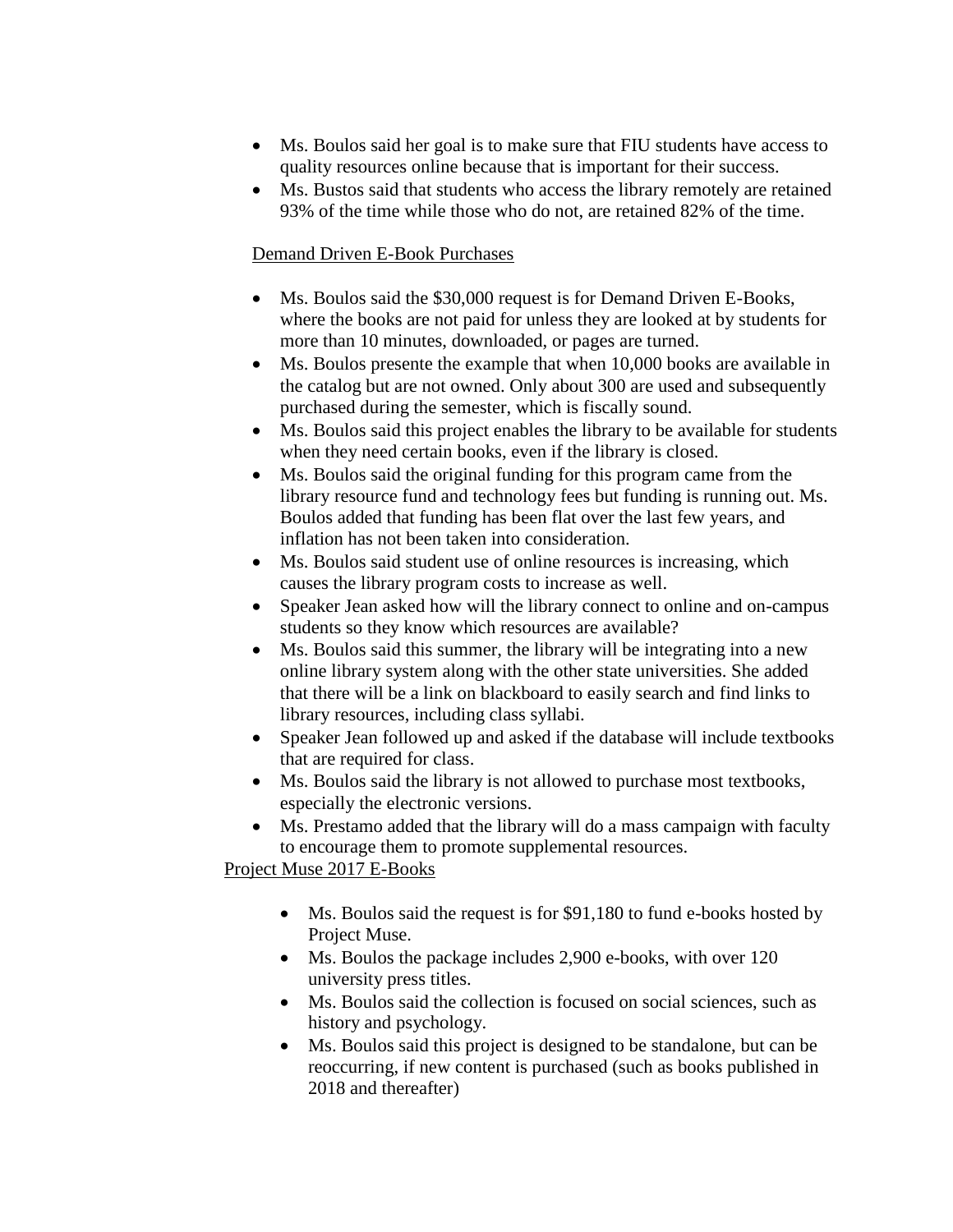- Ms. Boulos said her goal is to make sure that FIU students have access to quality resources online because that is important for their success.
- Ms. Bustos said that students who access the library remotely are retained 93% of the time while those who do not, are retained 82% of the time.

#### Demand Driven E-Book Purchases

- Ms. Boulos said the \$30,000 request is for Demand Driven E-Books, where the books are not paid for unless they are looked at by students for more than 10 minutes, downloaded, or pages are turned.
- Ms. Boulos presente the example that when 10,000 books are available in the catalog but are not owned. Only about 300 are used and subsequently purchased during the semester, which is fiscally sound.
- Ms. Boulos said this project enables the library to be available for students when they need certain books, even if the library is closed.
- Ms. Boulos said the original funding for this program came from the library resource fund and technology fees but funding is running out. Ms. Boulos added that funding has been flat over the last few years, and inflation has not been taken into consideration.
- Ms. Boulos said student use of online resources is increasing, which causes the library program costs to increase as well.
- Speaker Jean asked how will the library connect to online and on-campus students so they know which resources are available?
- Ms. Boulos said this summer, the library will be integrating into a new online library system along with the other state universities. She added that there will be a link on blackboard to easily search and find links to library resources, including class syllabi.
- Speaker Jean followed up and asked if the database will include textbooks that are required for class.
- Ms. Boulos said the library is not allowed to purchase most textbooks, especially the electronic versions.
- Ms. Prestamo added that the library will do a mass campaign with faculty to encourage them to promote supplemental resources.

# Project Muse 2017 E-Books

- Ms. Boulos said the request is for \$91,180 to fund e-books hosted by Project Muse.
- Ms. Boulos the package includes 2,900 e-books, with over 120 university press titles.
- Ms. Boulos said the collection is focused on social sciences, such as history and psychology.
- Ms. Boulos said this project is designed to be standalone, but can be reoccurring, if new content is purchased (such as books published in 2018 and thereafter)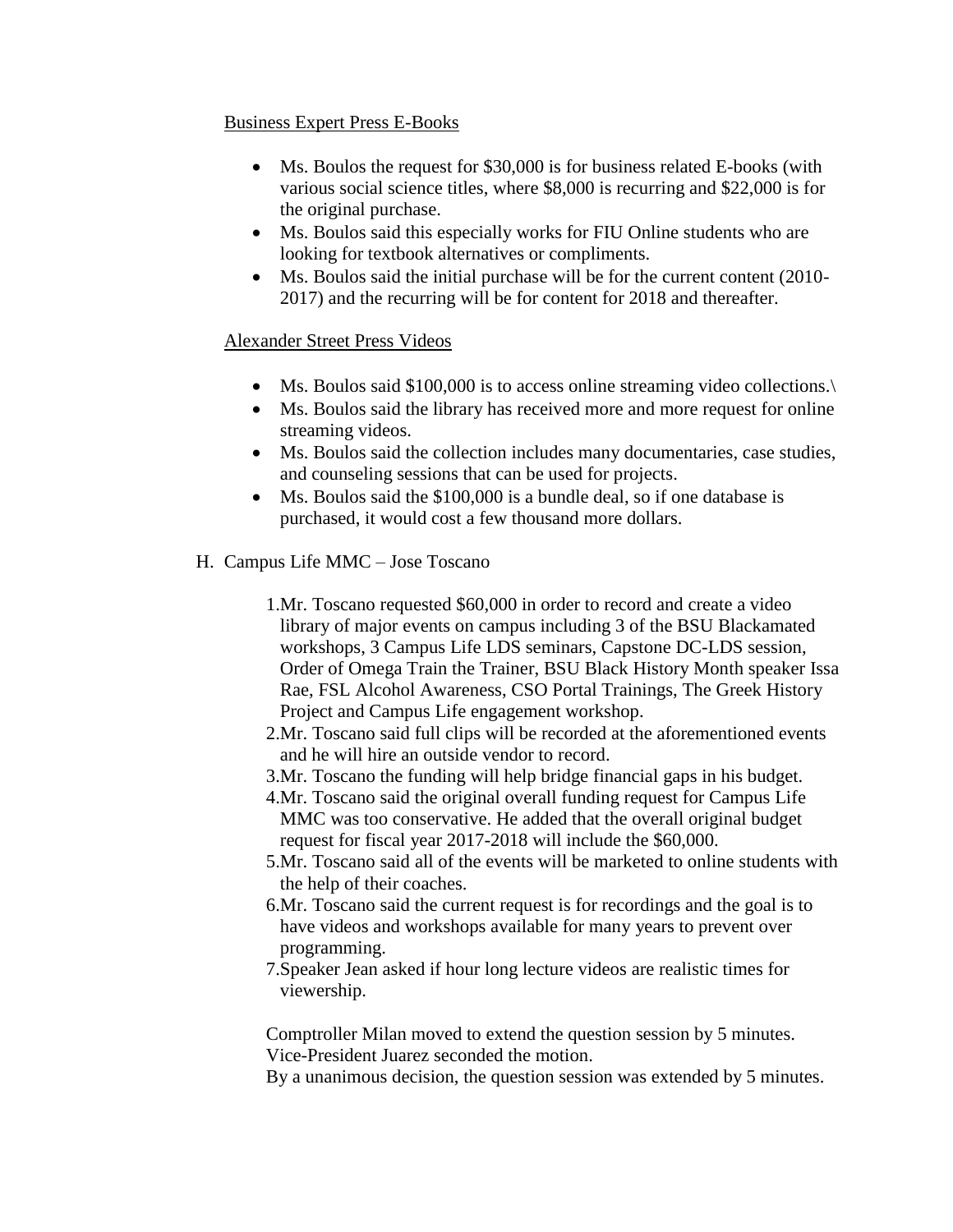#### Business Expert Press E-Books

- Ms. Boulos the request for \$30,000 is for business related E-books (with various social science titles, where \$8,000 is recurring and \$22,000 is for the original purchase.
- Ms. Boulos said this especially works for FIU Online students who are looking for textbook alternatives or compliments.
- Ms. Boulos said the initial purchase will be for the current content (2010-2017) and the recurring will be for content for 2018 and thereafter.

# Alexander Street Press Videos

- Ms. Boulos said \$100,000 is to access online streaming video collections.
- Ms. Boulos said the library has received more and more request for online streaming videos.
- Ms. Boulos said the collection includes many documentaries, case studies, and counseling sessions that can be used for projects.
- Ms. Boulos said the \$100,000 is a bundle deal, so if one database is purchased, it would cost a few thousand more dollars.
- H. Campus Life MMC Jose Toscano
	- 1.Mr. Toscano requested \$60,000 in order to record and create a video library of major events on campus including 3 of the BSU Blackamated workshops, 3 Campus Life LDS seminars, Capstone DC-LDS session, Order of Omega Train the Trainer, BSU Black History Month speaker Issa Rae, FSL Alcohol Awareness, CSO Portal Trainings, The Greek History Project and Campus Life engagement workshop.
	- 2.Mr. Toscano said full clips will be recorded at the aforementioned events and he will hire an outside vendor to record.
	- 3.Mr. Toscano the funding will help bridge financial gaps in his budget.
	- 4.Mr. Toscano said the original overall funding request for Campus Life MMC was too conservative. He added that the overall original budget request for fiscal year 2017-2018 will include the \$60,000.
	- 5.Mr. Toscano said all of the events will be marketed to online students with the help of their coaches.
	- 6.Mr. Toscano said the current request is for recordings and the goal is to have videos and workshops available for many years to prevent over programming.
	- 7.Speaker Jean asked if hour long lecture videos are realistic times for viewership.

Comptroller Milan moved to extend the question session by 5 minutes. Vice-President Juarez seconded the motion.

By a unanimous decision, the question session was extended by 5 minutes.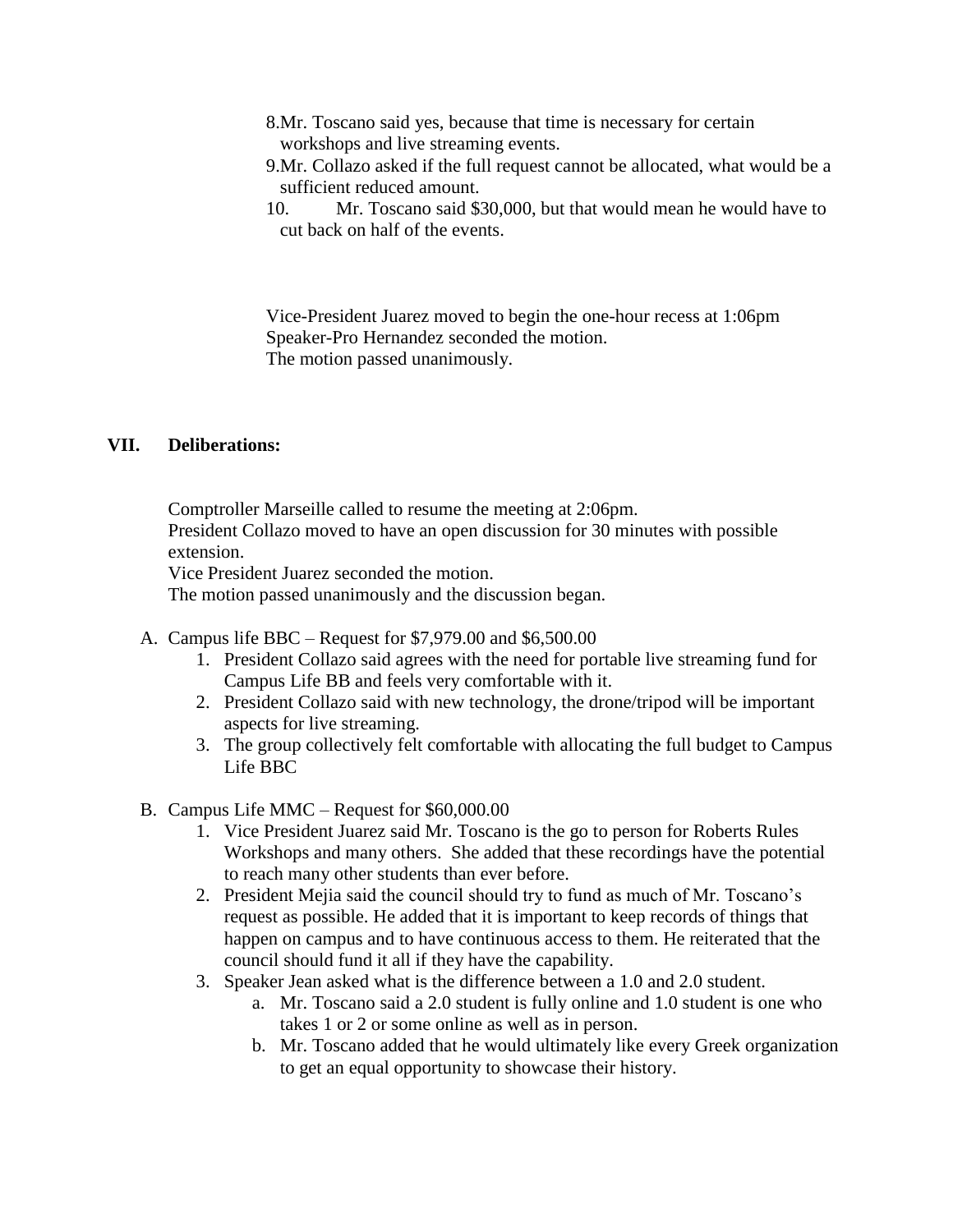- 8.Mr. Toscano said yes, because that time is necessary for certain workshops and live streaming events.
- 9.Mr. Collazo asked if the full request cannot be allocated, what would be a sufficient reduced amount.
- 10. Mr. Toscano said \$30,000, but that would mean he would have to cut back on half of the events.

Vice-President Juarez moved to begin the one-hour recess at 1:06pm Speaker-Pro Hernandez seconded the motion. The motion passed unanimously.

#### **VII. Deliberations:**

Comptroller Marseille called to resume the meeting at 2:06pm. President Collazo moved to have an open discussion for 30 minutes with possible extension.

Vice President Juarez seconded the motion.

The motion passed unanimously and the discussion began.

- A. Campus life BBC Request for \$7,979.00 and \$6,500.00
	- 1. President Collazo said agrees with the need for portable live streaming fund for Campus Life BB and feels very comfortable with it.
	- 2. President Collazo said with new technology, the drone/tripod will be important aspects for live streaming.
	- 3. The group collectively felt comfortable with allocating the full budget to Campus Life BBC
- B. Campus Life MMC Request for \$60,000.00
	- 1. Vice President Juarez said Mr. Toscano is the go to person for Roberts Rules Workshops and many others. She added that these recordings have the potential to reach many other students than ever before.
	- 2. President Mejia said the council should try to fund as much of Mr. Toscano's request as possible. He added that it is important to keep records of things that happen on campus and to have continuous access to them. He reiterated that the council should fund it all if they have the capability.
	- 3. Speaker Jean asked what is the difference between a 1.0 and 2.0 student.
		- a. Mr. Toscano said a 2.0 student is fully online and 1.0 student is one who takes 1 or 2 or some online as well as in person.
		- b. Mr. Toscano added that he would ultimately like every Greek organization to get an equal opportunity to showcase their history.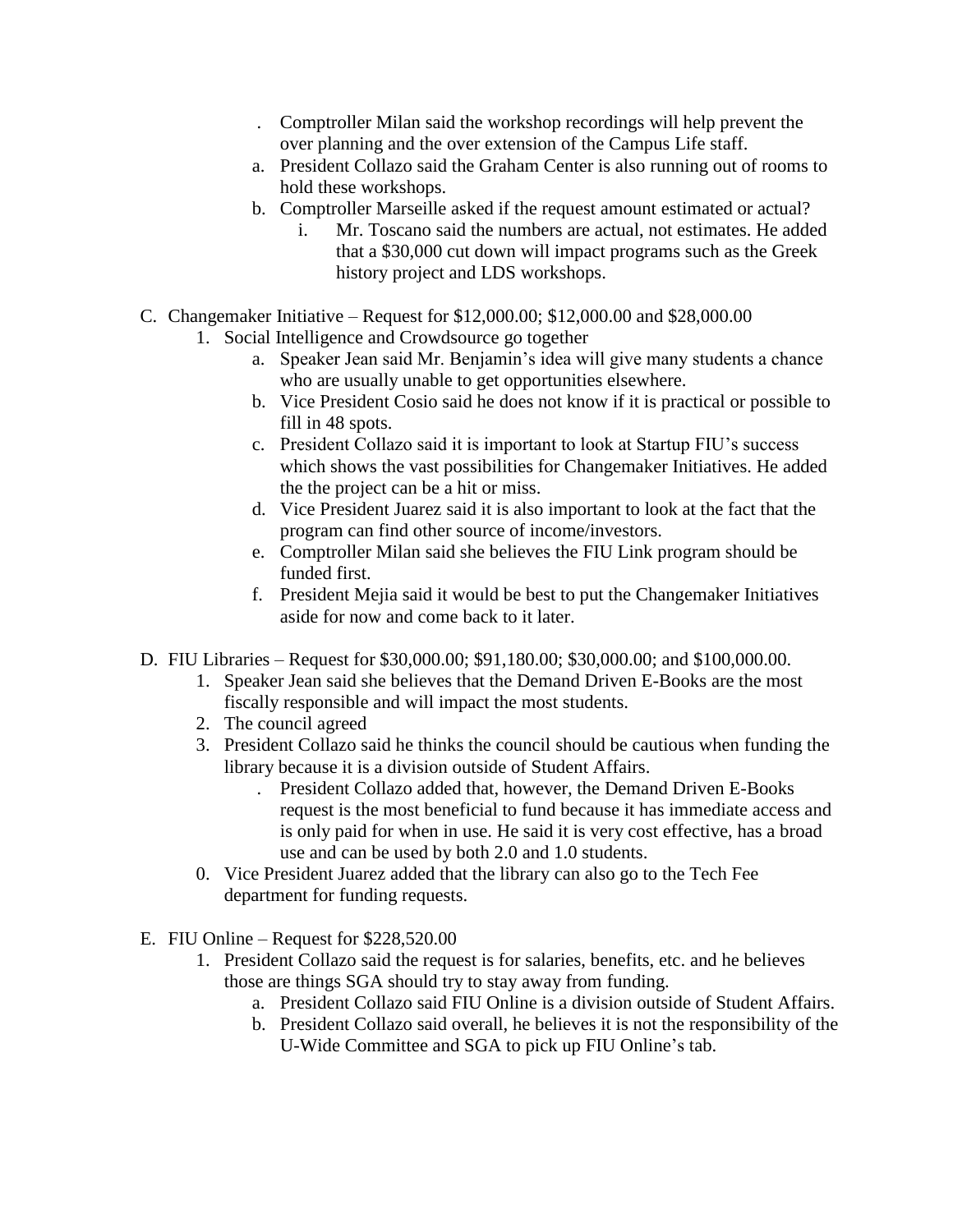- . Comptroller Milan said the workshop recordings will help prevent the over planning and the over extension of the Campus Life staff.
- a. President Collazo said the Graham Center is also running out of rooms to hold these workshops.
- b. Comptroller Marseille asked if the request amount estimated or actual?
	- i. Mr. Toscano said the numbers are actual, not estimates. He added that a \$30,000 cut down will impact programs such as the Greek history project and LDS workshops.
- C. Changemaker Initiative Request for \$12,000.00; \$12,000.00 and \$28,000.00
	- 1. Social Intelligence and Crowdsource go together
		- a. Speaker Jean said Mr. Benjamin's idea will give many students a chance who are usually unable to get opportunities elsewhere.
		- b. Vice President Cosio said he does not know if it is practical or possible to fill in 48 spots.
		- c. President Collazo said it is important to look at Startup FIU's success which shows the vast possibilities for Changemaker Initiatives. He added the the project can be a hit or miss.
		- d. Vice President Juarez said it is also important to look at the fact that the program can find other source of income/investors.
		- e. Comptroller Milan said she believes the FIU Link program should be funded first.
		- f. President Mejia said it would be best to put the Changemaker Initiatives aside for now and come back to it later.
- D. FIU Libraries Request for \$30,000.00; \$91,180.00; \$30,000.00; and \$100,000.00.
	- 1. Speaker Jean said she believes that the Demand Driven E-Books are the most fiscally responsible and will impact the most students.
	- 2. The council agreed
	- 3. President Collazo said he thinks the council should be cautious when funding the library because it is a division outside of Student Affairs.
		- . President Collazo added that, however, the Demand Driven E-Books request is the most beneficial to fund because it has immediate access and is only paid for when in use. He said it is very cost effective, has a broad use and can be used by both 2.0 and 1.0 students.
	- 0. Vice President Juarez added that the library can also go to the Tech Fee department for funding requests.
- E. FIU Online Request for \$228,520.00
	- 1. President Collazo said the request is for salaries, benefits, etc. and he believes those are things SGA should try to stay away from funding.
		- a. President Collazo said FIU Online is a division outside of Student Affairs.
		- b. President Collazo said overall, he believes it is not the responsibility of the U-Wide Committee and SGA to pick up FIU Online's tab.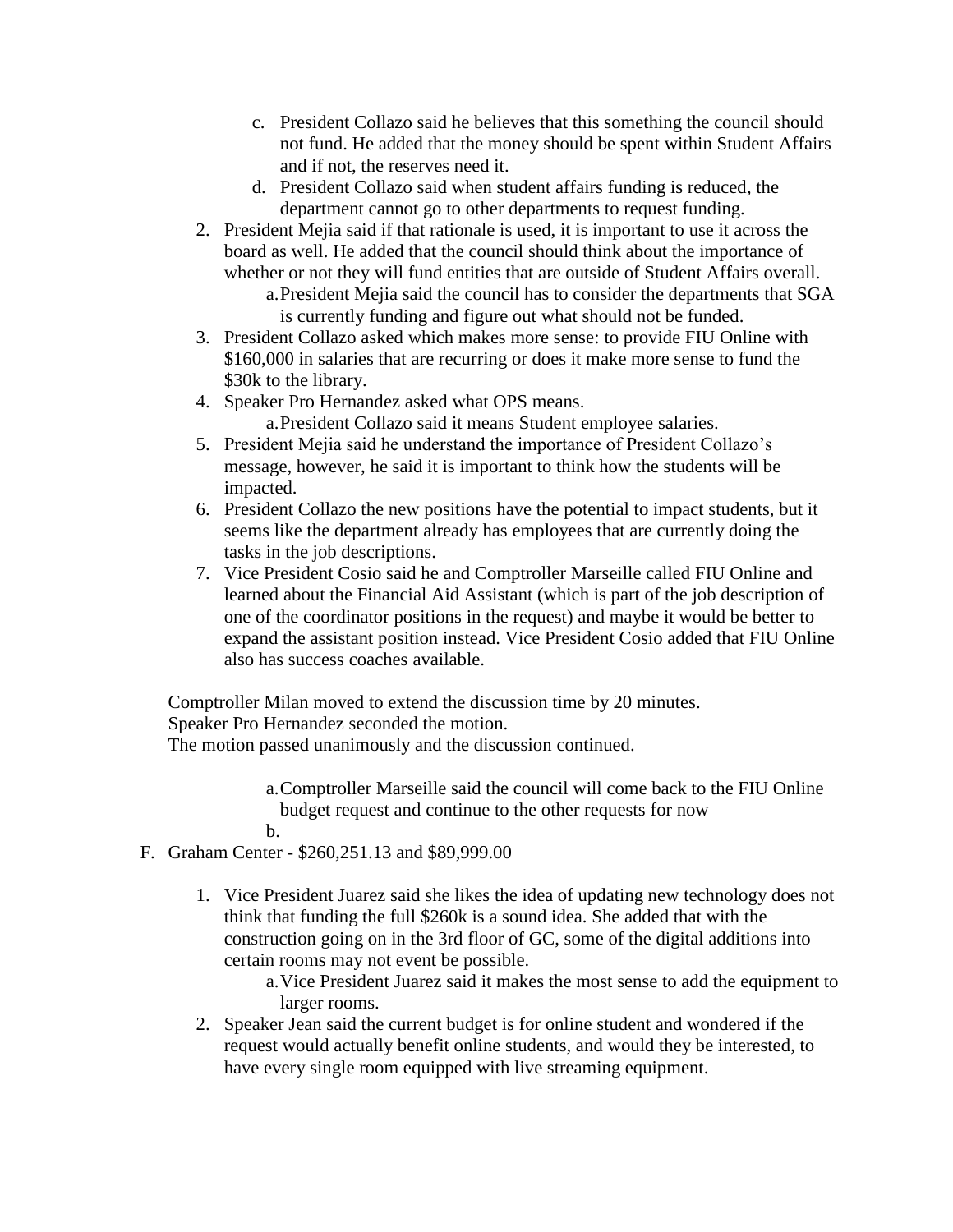- c. President Collazo said he believes that this something the council should not fund. He added that the money should be spent within Student Affairs and if not, the reserves need it.
- d. President Collazo said when student affairs funding is reduced, the department cannot go to other departments to request funding.
- 2. President Mejia said if that rationale is used, it is important to use it across the board as well. He added that the council should think about the importance of whether or not they will fund entities that are outside of Student Affairs overall.
	- a.President Mejia said the council has to consider the departments that SGA is currently funding and figure out what should not be funded.
- 3. President Collazo asked which makes more sense: to provide FIU Online with \$160,000 in salaries that are recurring or does it make more sense to fund the \$30k to the library.
- 4. Speaker Pro Hernandez asked what OPS means. a.President Collazo said it means Student employee salaries.
- 5. President Mejia said he understand the importance of President Collazo's message, however, he said it is important to think how the students will be impacted.
- 6. President Collazo the new positions have the potential to impact students, but it seems like the department already has employees that are currently doing the tasks in the job descriptions.
- 7. Vice President Cosio said he and Comptroller Marseille called FIU Online and learned about the Financial Aid Assistant (which is part of the job description of one of the coordinator positions in the request) and maybe it would be better to expand the assistant position instead. Vice President Cosio added that FIU Online also has success coaches available.

Comptroller Milan moved to extend the discussion time by 20 minutes. Speaker Pro Hernandez seconded the motion.

The motion passed unanimously and the discussion continued.

a.Comptroller Marseille said the council will come back to the FIU Online budget request and continue to the other requests for now b.

- F. Graham Center \$260,251.13 and \$89,999.00
	- 1. Vice President Juarez said she likes the idea of updating new technology does not think that funding the full \$260k is a sound idea. She added that with the construction going on in the 3rd floor of GC, some of the digital additions into certain rooms may not event be possible.

a.Vice President Juarez said it makes the most sense to add the equipment to larger rooms.

2. Speaker Jean said the current budget is for online student and wondered if the request would actually benefit online students, and would they be interested, to have every single room equipped with live streaming equipment.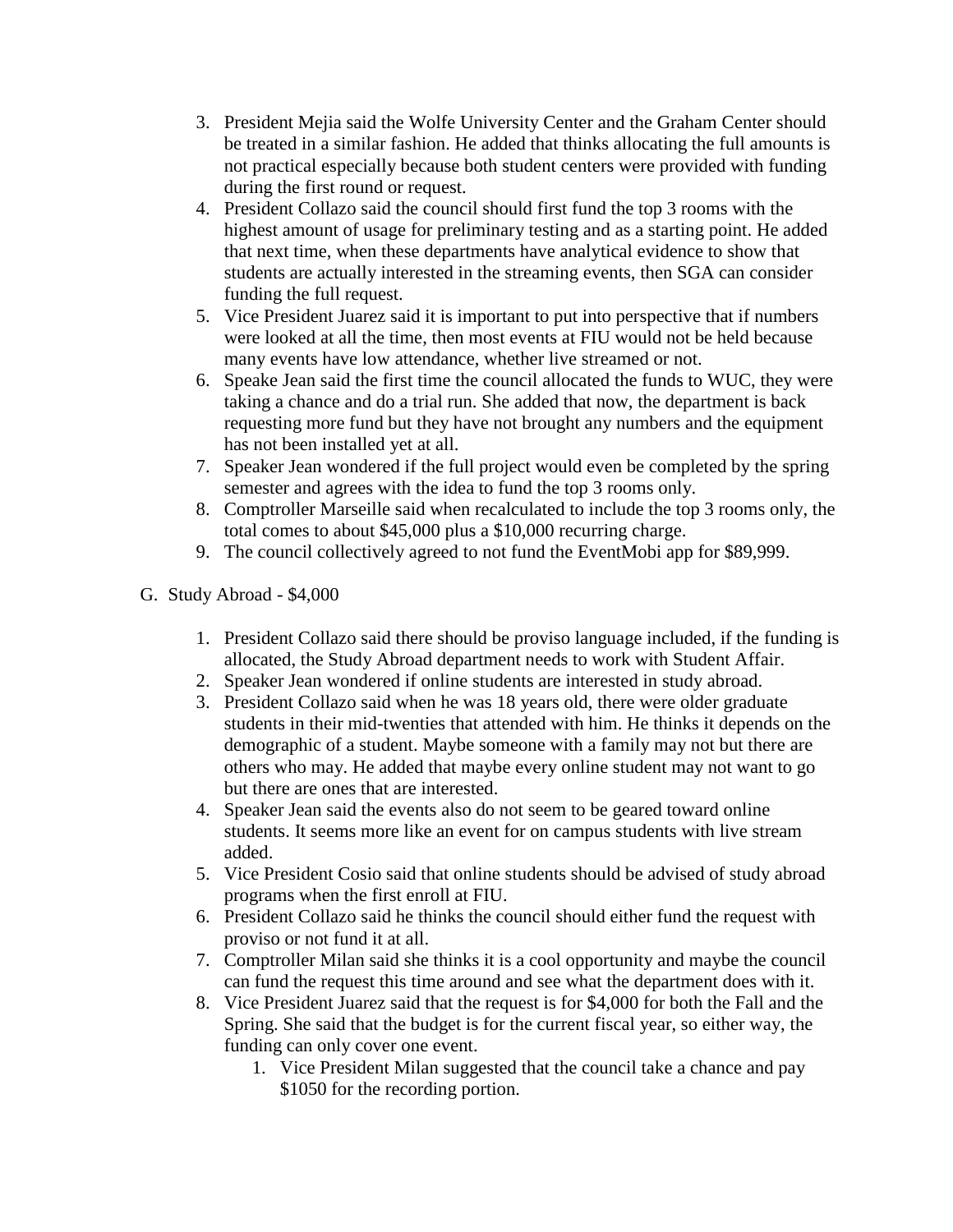- 3. President Mejia said the Wolfe University Center and the Graham Center should be treated in a similar fashion. He added that thinks allocating the full amounts is not practical especially because both student centers were provided with funding during the first round or request.
- 4. President Collazo said the council should first fund the top 3 rooms with the highest amount of usage for preliminary testing and as a starting point. He added that next time, when these departments have analytical evidence to show that students are actually interested in the streaming events, then SGA can consider funding the full request.
- 5. Vice President Juarez said it is important to put into perspective that if numbers were looked at all the time, then most events at FIU would not be held because many events have low attendance, whether live streamed or not.
- 6. Speake Jean said the first time the council allocated the funds to WUC, they were taking a chance and do a trial run. She added that now, the department is back requesting more fund but they have not brought any numbers and the equipment has not been installed yet at all.
- 7. Speaker Jean wondered if the full project would even be completed by the spring semester and agrees with the idea to fund the top 3 rooms only.
- 8. Comptroller Marseille said when recalculated to include the top 3 rooms only, the total comes to about \$45,000 plus a \$10,000 recurring charge.
- 9. The council collectively agreed to not fund the EventMobi app for \$89,999.
- G. Study Abroad \$4,000
	- 1. President Collazo said there should be proviso language included, if the funding is allocated, the Study Abroad department needs to work with Student Affair.
	- 2. Speaker Jean wondered if online students are interested in study abroad.
	- 3. President Collazo said when he was 18 years old, there were older graduate students in their mid-twenties that attended with him. He thinks it depends on the demographic of a student. Maybe someone with a family may not but there are others who may. He added that maybe every online student may not want to go but there are ones that are interested.
	- 4. Speaker Jean said the events also do not seem to be geared toward online students. It seems more like an event for on campus students with live stream added.
	- 5. Vice President Cosio said that online students should be advised of study abroad programs when the first enroll at FIU.
	- 6. President Collazo said he thinks the council should either fund the request with proviso or not fund it at all.
	- 7. Comptroller Milan said she thinks it is a cool opportunity and maybe the council can fund the request this time around and see what the department does with it.
	- 8. Vice President Juarez said that the request is for \$4,000 for both the Fall and the Spring. She said that the budget is for the current fiscal year, so either way, the funding can only cover one event.
		- 1. Vice President Milan suggested that the council take a chance and pay \$1050 for the recording portion.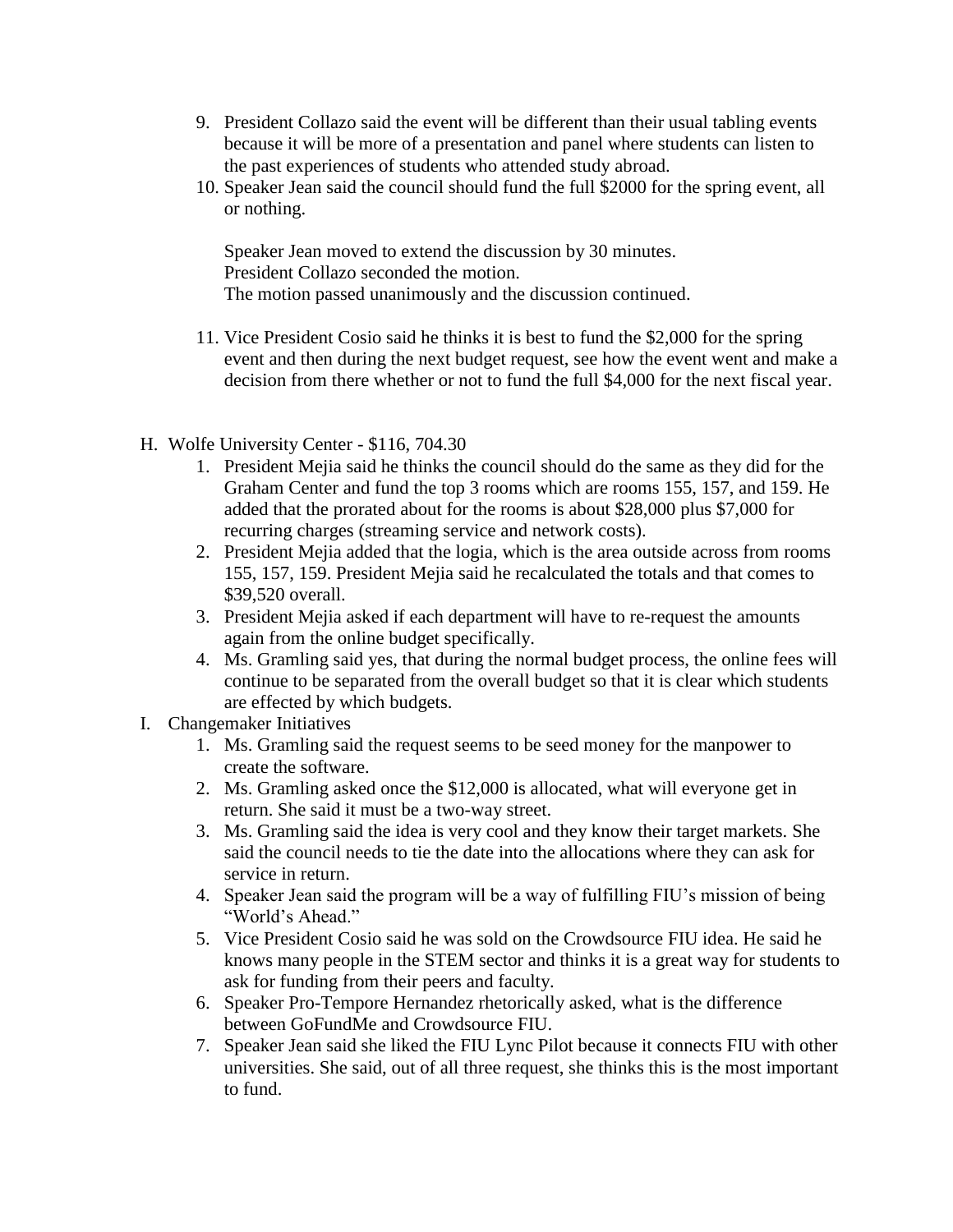- 9. President Collazo said the event will be different than their usual tabling events because it will be more of a presentation and panel where students can listen to the past experiences of students who attended study abroad.
- 10. Speaker Jean said the council should fund the full \$2000 for the spring event, all or nothing.

Speaker Jean moved to extend the discussion by 30 minutes. President Collazo seconded the motion. The motion passed unanimously and the discussion continued.

- 11. Vice President Cosio said he thinks it is best to fund the \$2,000 for the spring event and then during the next budget request, see how the event went and make a decision from there whether or not to fund the full \$4,000 for the next fiscal year.
- H. Wolfe University Center \$116, 704.30
	- 1. President Mejia said he thinks the council should do the same as they did for the Graham Center and fund the top 3 rooms which are rooms 155, 157, and 159. He added that the prorated about for the rooms is about \$28,000 plus \$7,000 for recurring charges (streaming service and network costs).
	- 2. President Mejia added that the logia, which is the area outside across from rooms 155, 157, 159. President Mejia said he recalculated the totals and that comes to \$39,520 overall.
	- 3. President Mejia asked if each department will have to re-request the amounts again from the online budget specifically.
	- 4. Ms. Gramling said yes, that during the normal budget process, the online fees will continue to be separated from the overall budget so that it is clear which students are effected by which budgets.
- I. Changemaker Initiatives
	- 1. Ms. Gramling said the request seems to be seed money for the manpower to create the software.
	- 2. Ms. Gramling asked once the \$12,000 is allocated, what will everyone get in return. She said it must be a two-way street.
	- 3. Ms. Gramling said the idea is very cool and they know their target markets. She said the council needs to tie the date into the allocations where they can ask for service in return.
	- 4. Speaker Jean said the program will be a way of fulfilling FIU's mission of being "World's Ahead."
	- 5. Vice President Cosio said he was sold on the Crowdsource FIU idea. He said he knows many people in the STEM sector and thinks it is a great way for students to ask for funding from their peers and faculty.
	- 6. Speaker Pro-Tempore Hernandez rhetorically asked, what is the difference between GoFundMe and Crowdsource FIU.
	- 7. Speaker Jean said she liked the FIU Lync Pilot because it connects FIU with other universities. She said, out of all three request, she thinks this is the most important to fund.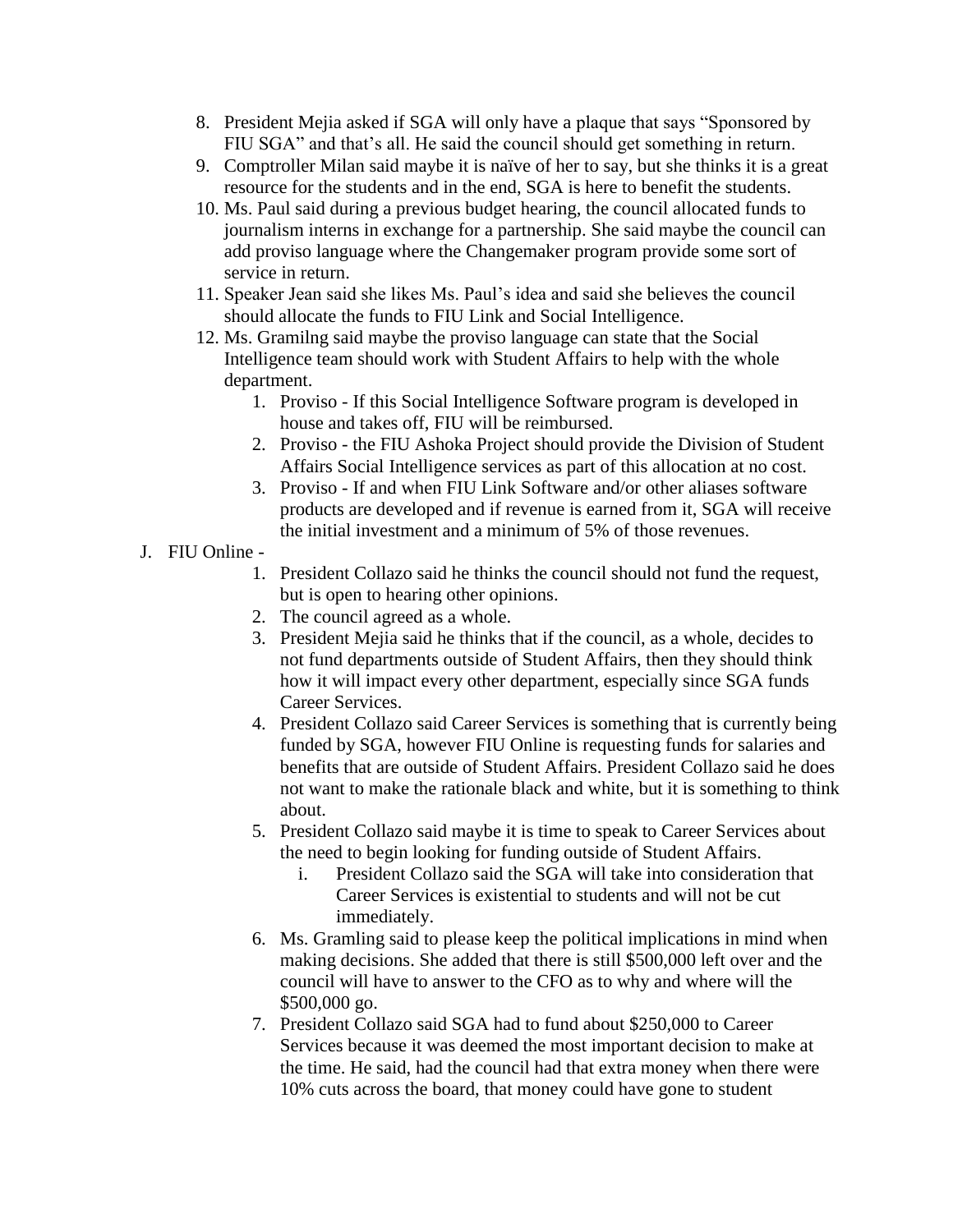- 8. President Mejia asked if SGA will only have a plaque that says "Sponsored by FIU SGA" and that's all. He said the council should get something in return.
- 9. Comptroller Milan said maybe it is naïve of her to say, but she thinks it is a great resource for the students and in the end, SGA is here to benefit the students.
- 10. Ms. Paul said during a previous budget hearing, the council allocated funds to journalism interns in exchange for a partnership. She said maybe the council can add proviso language where the Changemaker program provide some sort of service in return.
- 11. Speaker Jean said she likes Ms. Paul's idea and said she believes the council should allocate the funds to FIU Link and Social Intelligence.
- 12. Ms. Gramilng said maybe the proviso language can state that the Social Intelligence team should work with Student Affairs to help with the whole department.
	- 1. Proviso If this Social Intelligence Software program is developed in house and takes off, FIU will be reimbursed.
	- 2. Proviso the FIU Ashoka Project should provide the Division of Student Affairs Social Intelligence services as part of this allocation at no cost.
	- 3. Proviso If and when FIU Link Software and/or other aliases software products are developed and if revenue is earned from it, SGA will receive the initial investment and a minimum of 5% of those revenues.

# J. FIU Online -

- 1. President Collazo said he thinks the council should not fund the request, but is open to hearing other opinions.
- 2. The council agreed as a whole.
- 3. President Mejia said he thinks that if the council, as a whole, decides to not fund departments outside of Student Affairs, then they should think how it will impact every other department, especially since SGA funds Career Services.
- 4. President Collazo said Career Services is something that is currently being funded by SGA, however FIU Online is requesting funds for salaries and benefits that are outside of Student Affairs. President Collazo said he does not want to make the rationale black and white, but it is something to think about.
- 5. President Collazo said maybe it is time to speak to Career Services about the need to begin looking for funding outside of Student Affairs.
	- i. President Collazo said the SGA will take into consideration that Career Services is existential to students and will not be cut immediately.
- 6. Ms. Gramling said to please keep the political implications in mind when making decisions. She added that there is still \$500,000 left over and the council will have to answer to the CFO as to why and where will the \$500,000 go.
- 7. President Collazo said SGA had to fund about \$250,000 to Career Services because it was deemed the most important decision to make at the time. He said, had the council had that extra money when there were 10% cuts across the board, that money could have gone to student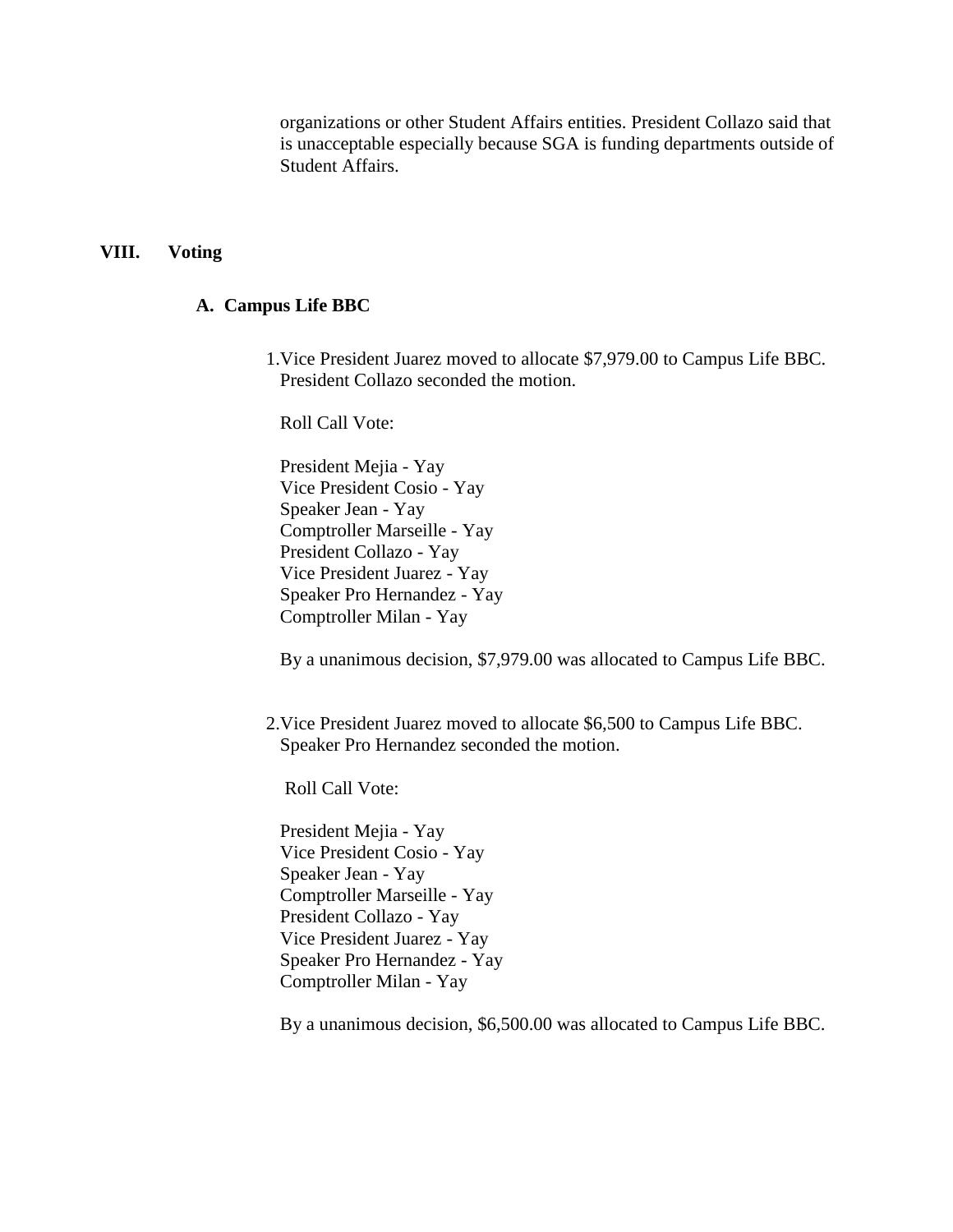organizations or other Student Affairs entities. President Collazo said that is unacceptable especially because SGA is funding departments outside of Student Affairs.

#### **VIII. Voting**

#### **A. Campus Life BBC**

1.Vice President Juarez moved to allocate \$7,979.00 to Campus Life BBC. President Collazo seconded the motion.

Roll Call Vote:

President Mejia - Yay Vice President Cosio - Yay Speaker Jean - Yay Comptroller Marseille - Yay President Collazo - Yay Vice President Juarez - Yay Speaker Pro Hernandez - Yay Comptroller Milan - Yay

By a unanimous decision, \$7,979.00 was allocated to Campus Life BBC.

2.Vice President Juarez moved to allocate \$6,500 to Campus Life BBC. Speaker Pro Hernandez seconded the motion.

Roll Call Vote:

President Mejia - Yay Vice President Cosio - Yay Speaker Jean - Yay Comptroller Marseille - Yay President Collazo - Yay Vice President Juarez - Yay Speaker Pro Hernandez - Yay Comptroller Milan - Yay

By a unanimous decision, \$6,500.00 was allocated to Campus Life BBC.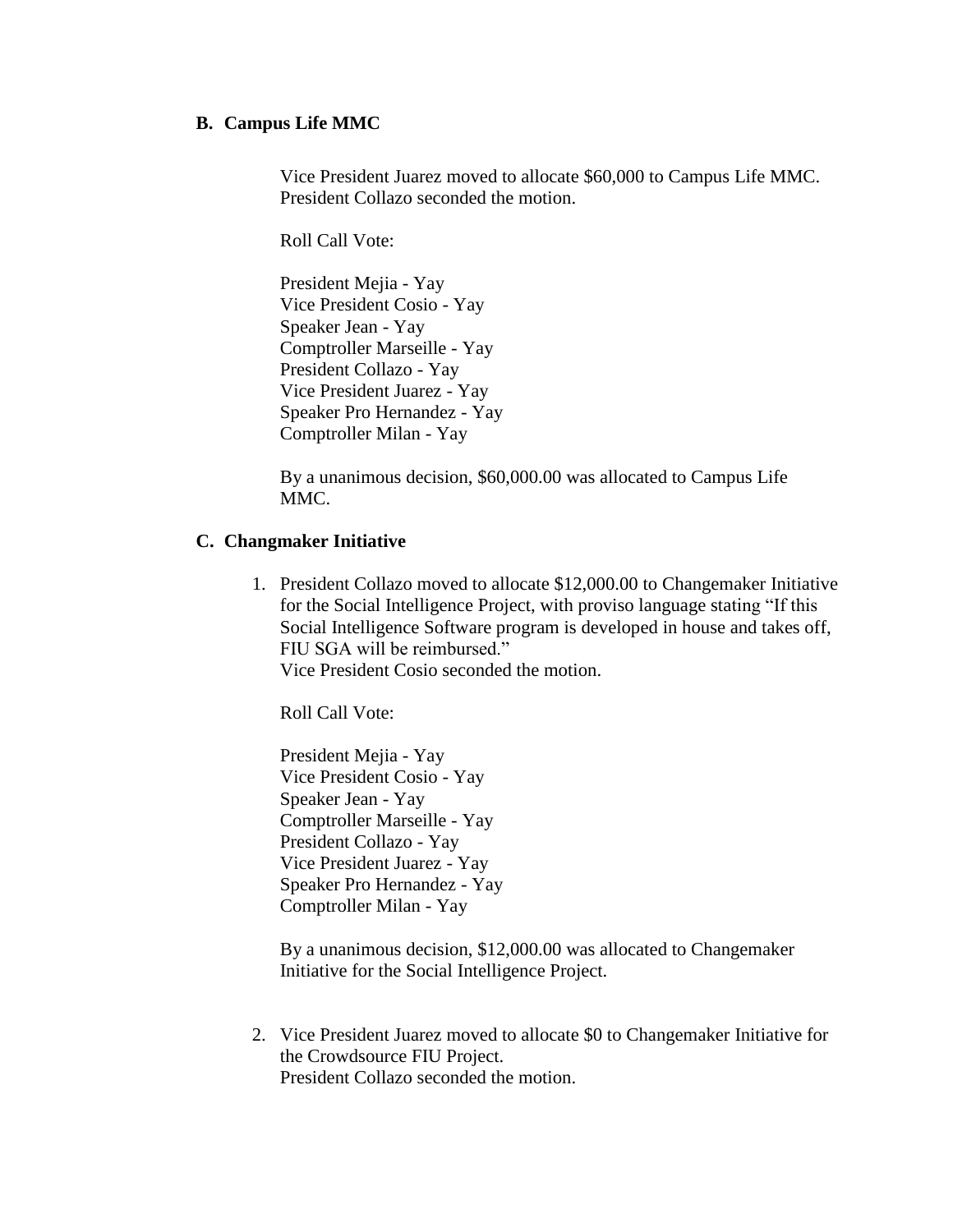#### **B. Campus Life MMC**

Vice President Juarez moved to allocate \$60,000 to Campus Life MMC. President Collazo seconded the motion.

Roll Call Vote:

President Mejia - Yay Vice President Cosio - Yay Speaker Jean - Yay Comptroller Marseille - Yay President Collazo - Yay Vice President Juarez - Yay Speaker Pro Hernandez - Yay Comptroller Milan - Yay

By a unanimous decision, \$60,000.00 was allocated to Campus Life MMC.

#### **C. Changmaker Initiative**

1. President Collazo moved to allocate \$12,000.00 to Changemaker Initiative for the Social Intelligence Project, with proviso language stating "If this Social Intelligence Software program is developed in house and takes off, FIU SGA will be reimbursed." Vice President Cosio seconded the motion.

Roll Call Vote:

President Mejia - Yay Vice President Cosio - Yay Speaker Jean - Yay Comptroller Marseille - Yay President Collazo - Yay Vice President Juarez - Yay Speaker Pro Hernandez - Yay Comptroller Milan - Yay

By a unanimous decision, \$12,000.00 was allocated to Changemaker Initiative for the Social Intelligence Project.

2. Vice President Juarez moved to allocate \$0 to Changemaker Initiative for the Crowdsource FIU Project. President Collazo seconded the motion.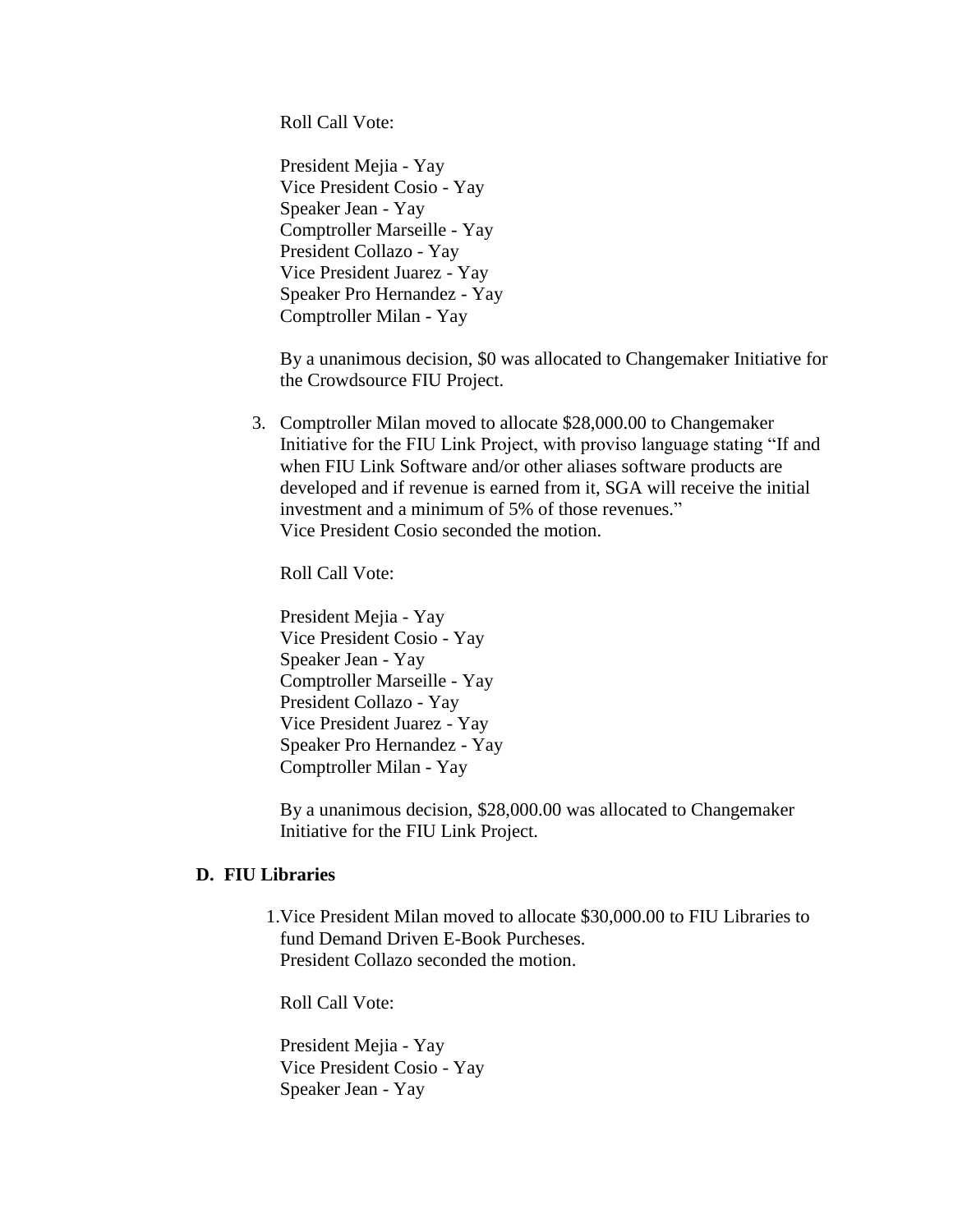Roll Call Vote:

President Mejia - Yay Vice President Cosio - Yay Speaker Jean - Yay Comptroller Marseille - Yay President Collazo - Yay Vice President Juarez - Yay Speaker Pro Hernandez - Yay Comptroller Milan - Yay

By a unanimous decision, \$0 was allocated to Changemaker Initiative for the Crowdsource FIU Project.

3. Comptroller Milan moved to allocate \$28,000.00 to Changemaker Initiative for the FIU Link Project, with proviso language stating "If and when FIU Link Software and/or other aliases software products are developed and if revenue is earned from it, SGA will receive the initial investment and a minimum of 5% of those revenues." Vice President Cosio seconded the motion.

Roll Call Vote:

President Mejia - Yay Vice President Cosio - Yay Speaker Jean - Yay Comptroller Marseille - Yay President Collazo - Yay Vice President Juarez - Yay Speaker Pro Hernandez - Yay Comptroller Milan - Yay

By a unanimous decision, \$28,000.00 was allocated to Changemaker Initiative for the FIU Link Project.

#### **D. FIU Libraries**

1.Vice President Milan moved to allocate \$30,000.00 to FIU Libraries to fund Demand Driven E-Book Purcheses. President Collazo seconded the motion.

Roll Call Vote:

President Mejia - Yay Vice President Cosio - Yay Speaker Jean - Yay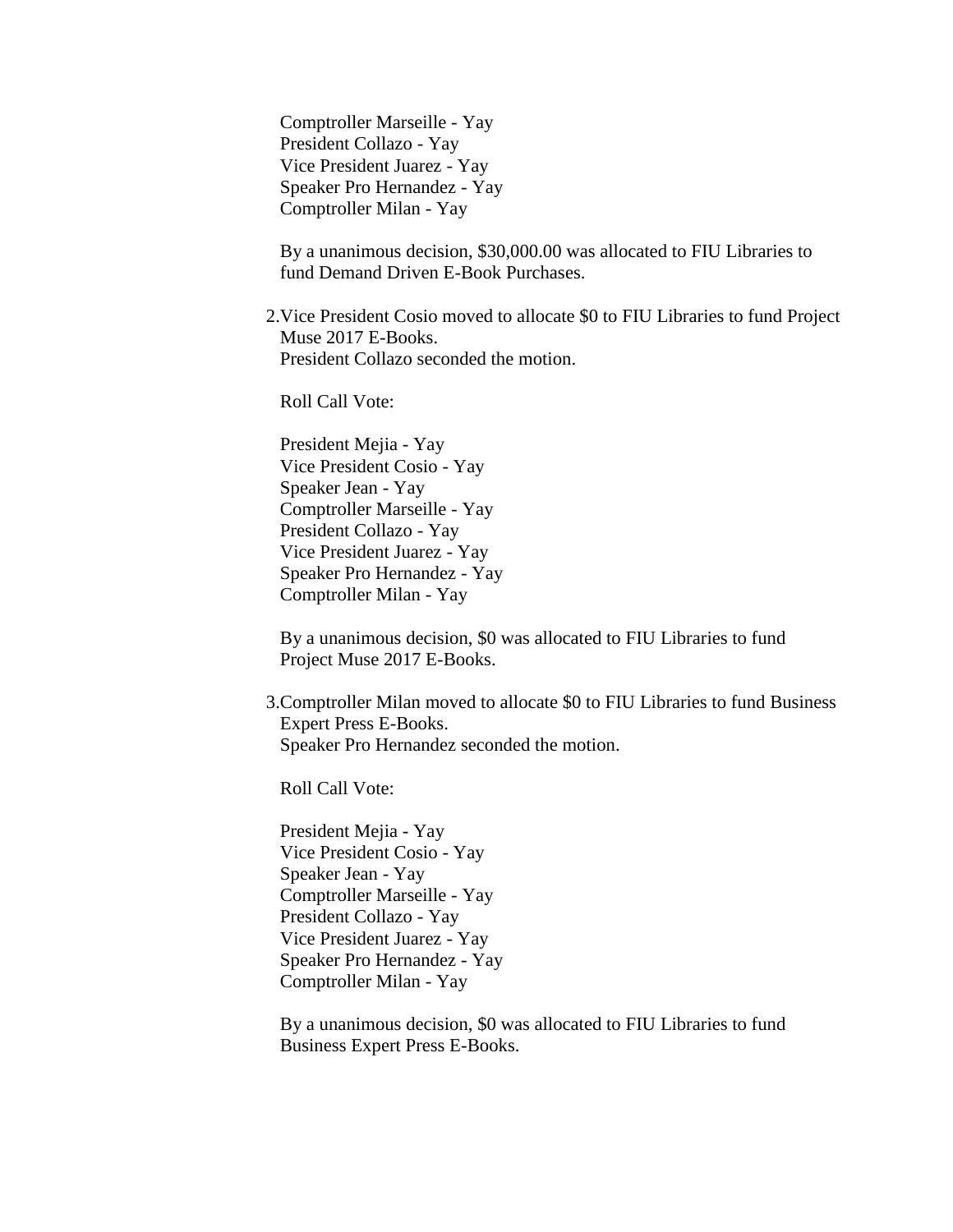Comptroller Marseille - Yay President Collazo - Yay Vice President Juarez - Yay Speaker Pro Hernandez - Yay Comptroller Milan - Yay

By a unanimous decision, \$30,000.00 was allocated to FIU Libraries to fund Demand Driven E-Book Purchases.

2.Vice President Cosio moved to allocate \$0 to FIU Libraries to fund Project Muse 2017 E-Books. President Collazo seconded the motion.

Roll Call Vote:

President Mejia - Yay Vice President Cosio - Yay Speaker Jean - Yay Comptroller Marseille - Yay President Collazo - Yay Vice President Juarez - Yay Speaker Pro Hernandez - Yay Comptroller Milan - Yay

By a unanimous decision, \$0 was allocated to FIU Libraries to fund Project Muse 2017 E-Books.

3.Comptroller Milan moved to allocate \$0 to FIU Libraries to fund Business Expert Press E-Books. Speaker Pro Hernandez seconded the motion.

Roll Call Vote:

President Mejia - Yay Vice President Cosio - Yay Speaker Jean - Yay Comptroller Marseille - Yay President Collazo - Yay Vice President Juarez - Yay Speaker Pro Hernandez - Yay Comptroller Milan - Yay

By a unanimous decision, \$0 was allocated to FIU Libraries to fund Business Expert Press E-Books.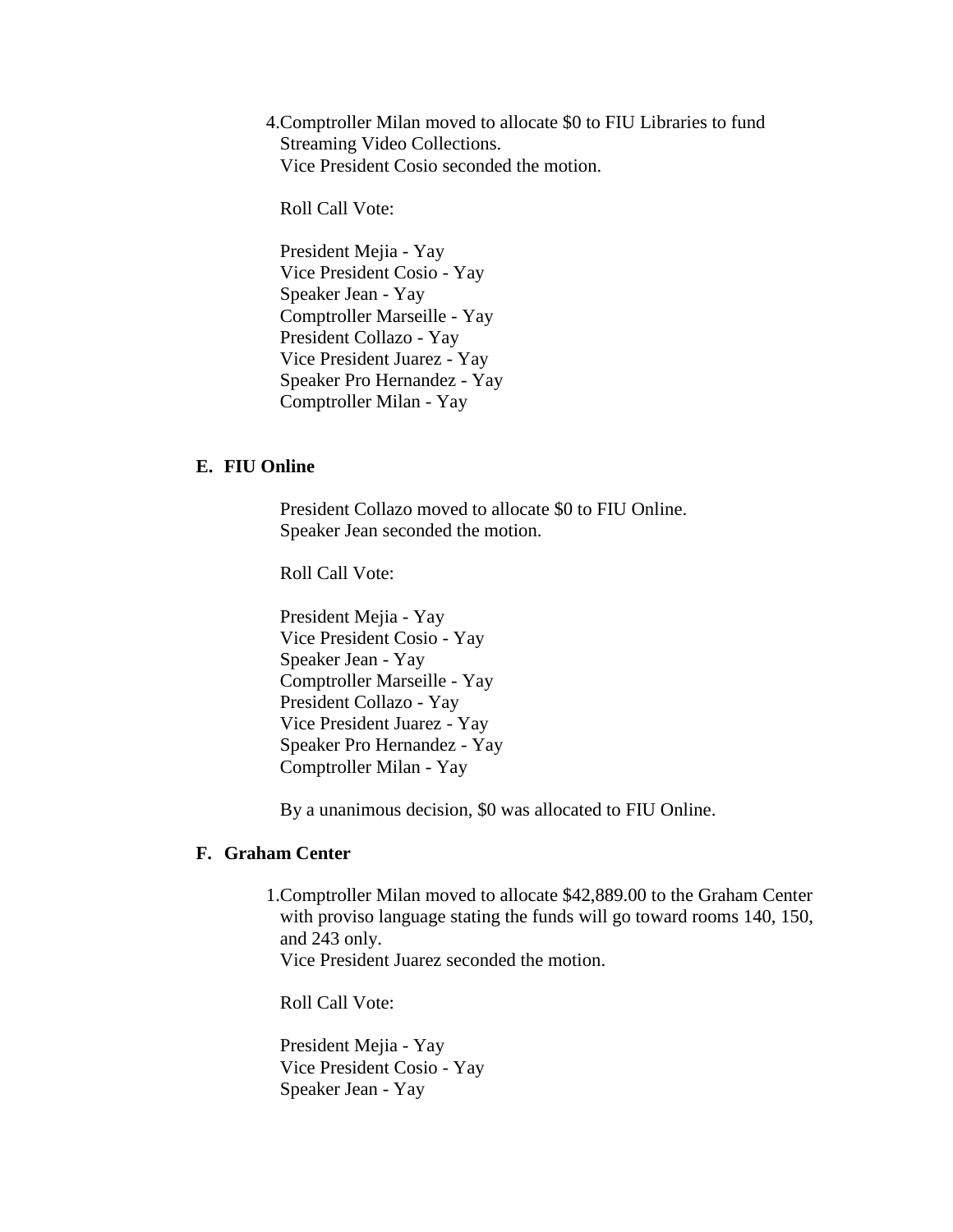4.Comptroller Milan moved to allocate \$0 to FIU Libraries to fund Streaming Video Collections. Vice President Cosio seconded the motion.

Roll Call Vote:

President Mejia - Yay Vice President Cosio - Yay Speaker Jean - Yay Comptroller Marseille - Yay President Collazo - Yay Vice President Juarez - Yay Speaker Pro Hernandez - Yay Comptroller Milan - Yay

#### **E. FIU Online**

President Collazo moved to allocate \$0 to FIU Online. Speaker Jean seconded the motion.

Roll Call Vote:

President Mejia - Yay Vice President Cosio - Yay Speaker Jean - Yay Comptroller Marseille - Yay President Collazo - Yay Vice President Juarez - Yay Speaker Pro Hernandez - Yay Comptroller Milan - Yay

By a unanimous decision, \$0 was allocated to FIU Online.

#### **F. Graham Center**

1.Comptroller Milan moved to allocate \$42,889.00 to the Graham Center with proviso language stating the funds will go toward rooms 140, 150, and 243 only. Vice President Juarez seconded the motion.

Roll Call Vote:

President Mejia - Yay Vice President Cosio - Yay Speaker Jean - Yay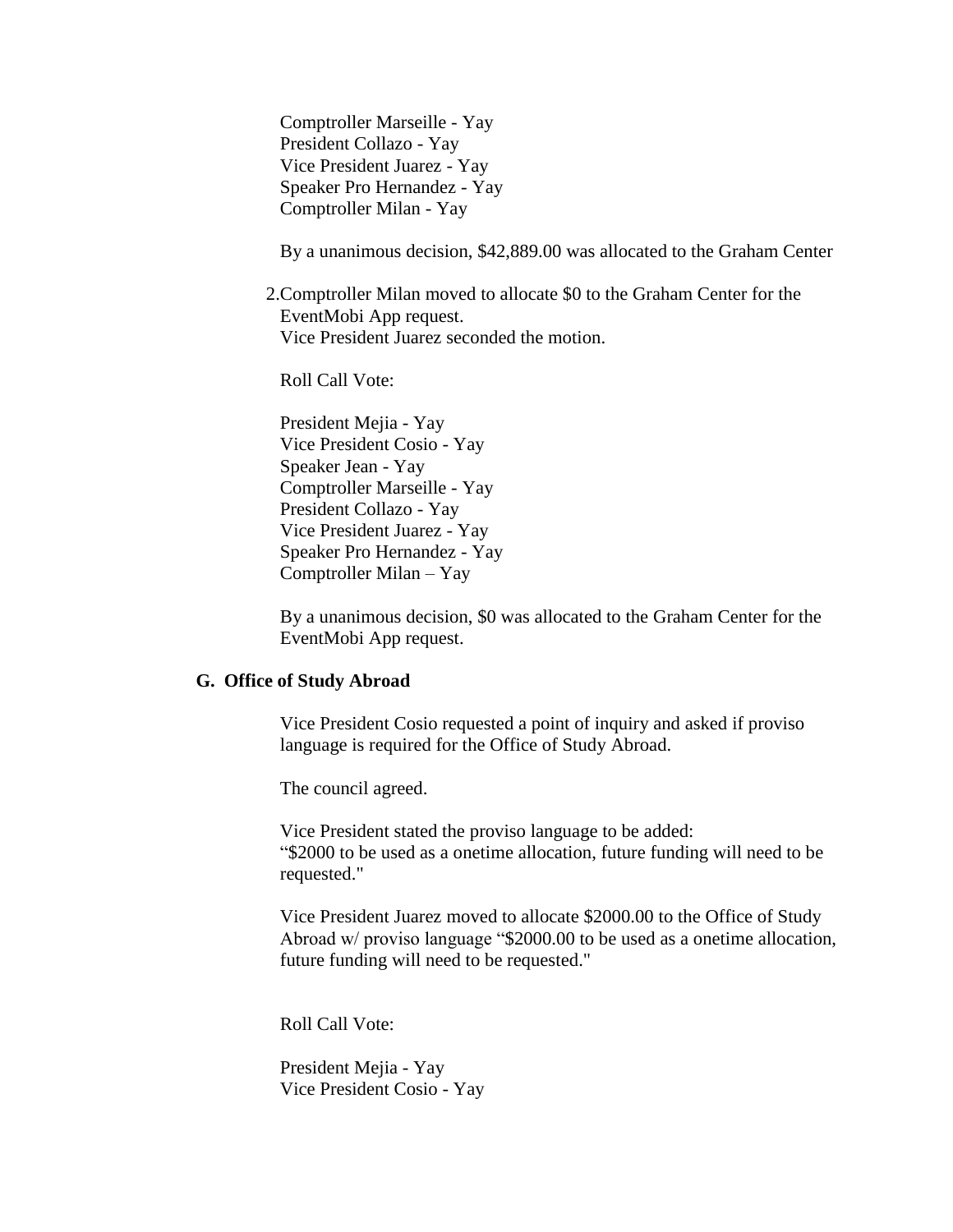Comptroller Marseille - Yay President Collazo - Yay Vice President Juarez - Yay Speaker Pro Hernandez - Yay Comptroller Milan - Yay

By a unanimous decision, \$42,889.00 was allocated to the Graham Center

2.Comptroller Milan moved to allocate \$0 to the Graham Center for the EventMobi App request. Vice President Juarez seconded the motion.

Roll Call Vote:

President Mejia - Yay Vice President Cosio - Yay Speaker Jean - Yay Comptroller Marseille - Yay President Collazo - Yay Vice President Juarez - Yay Speaker Pro Hernandez - Yay Comptroller Milan – Yay

By a unanimous decision, \$0 was allocated to the Graham Center for the EventMobi App request.

#### **G. Office of Study Abroad**

Vice President Cosio requested a point of inquiry and asked if proviso language is required for the Office of Study Abroad.

The council agreed.

Vice President stated the proviso language to be added: "\$2000 to be used as a onetime allocation, future funding will need to be requested."

Vice President Juarez moved to allocate \$2000.00 to the Office of Study Abroad w/ proviso language "\$2000.00 to be used as a onetime allocation, future funding will need to be requested."

Roll Call Vote:

President Mejia - Yay Vice President Cosio - Yay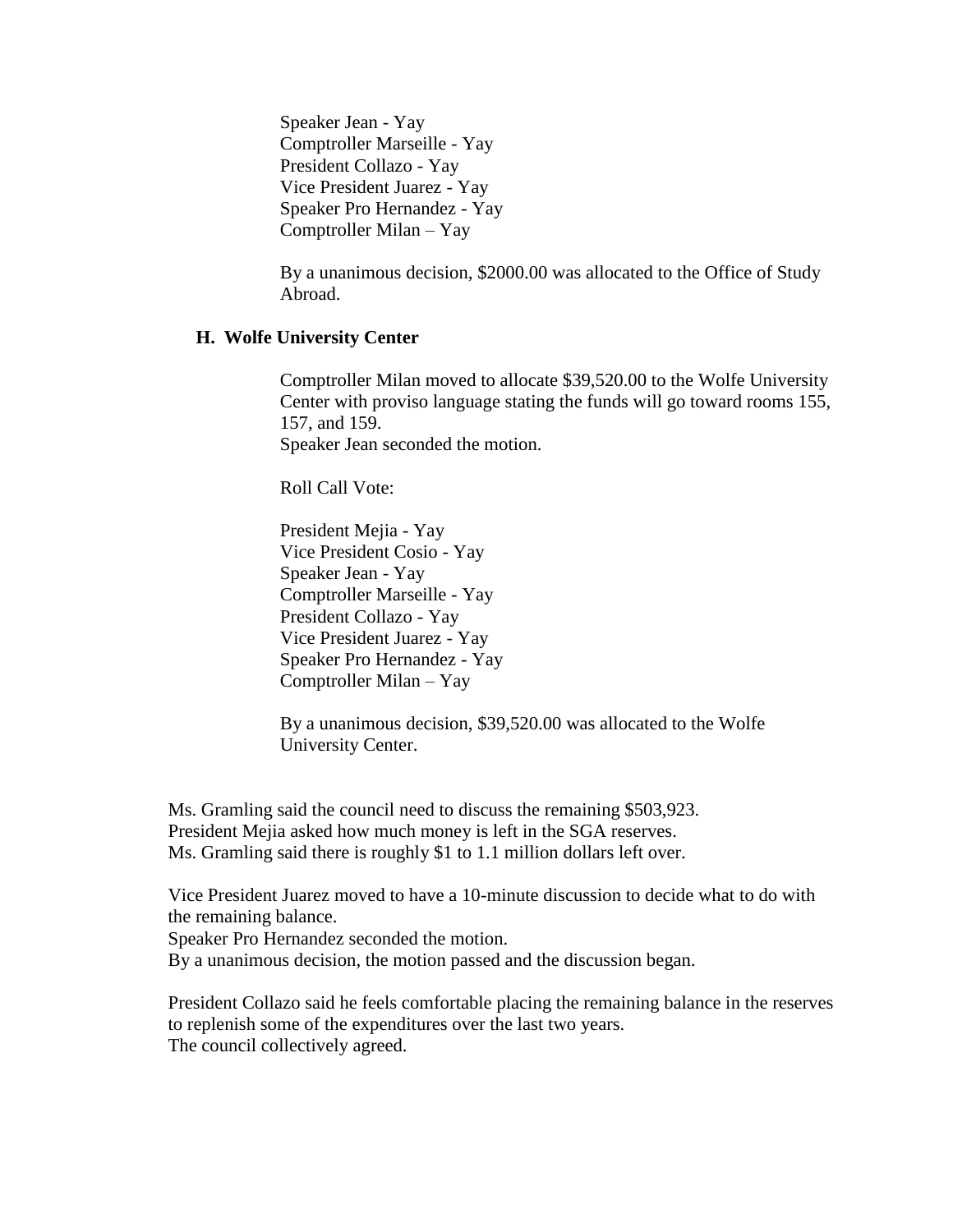Speaker Jean - Yay Comptroller Marseille - Yay President Collazo - Yay Vice President Juarez - Yay Speaker Pro Hernandez - Yay Comptroller Milan – Yay

By a unanimous decision, \$2000.00 was allocated to the Office of Study Abroad.

#### **H. Wolfe University Center**

Comptroller Milan moved to allocate \$39,520.00 to the Wolfe University Center with proviso language stating the funds will go toward rooms 155, 157, and 159. Speaker Jean seconded the motion.

Roll Call Vote:

President Mejia - Yay Vice President Cosio - Yay Speaker Jean - Yay Comptroller Marseille - Yay President Collazo - Yay Vice President Juarez - Yay Speaker Pro Hernandez - Yay Comptroller Milan – Yay

By a unanimous decision, \$39,520.00 was allocated to the Wolfe University Center.

Ms. Gramling said the council need to discuss the remaining \$503,923. President Mejia asked how much money is left in the SGA reserves. Ms. Gramling said there is roughly \$1 to 1.1 million dollars left over.

Vice President Juarez moved to have a 10-minute discussion to decide what to do with the remaining balance.

Speaker Pro Hernandez seconded the motion.

By a unanimous decision, the motion passed and the discussion began.

President Collazo said he feels comfortable placing the remaining balance in the reserves to replenish some of the expenditures over the last two years. The council collectively agreed.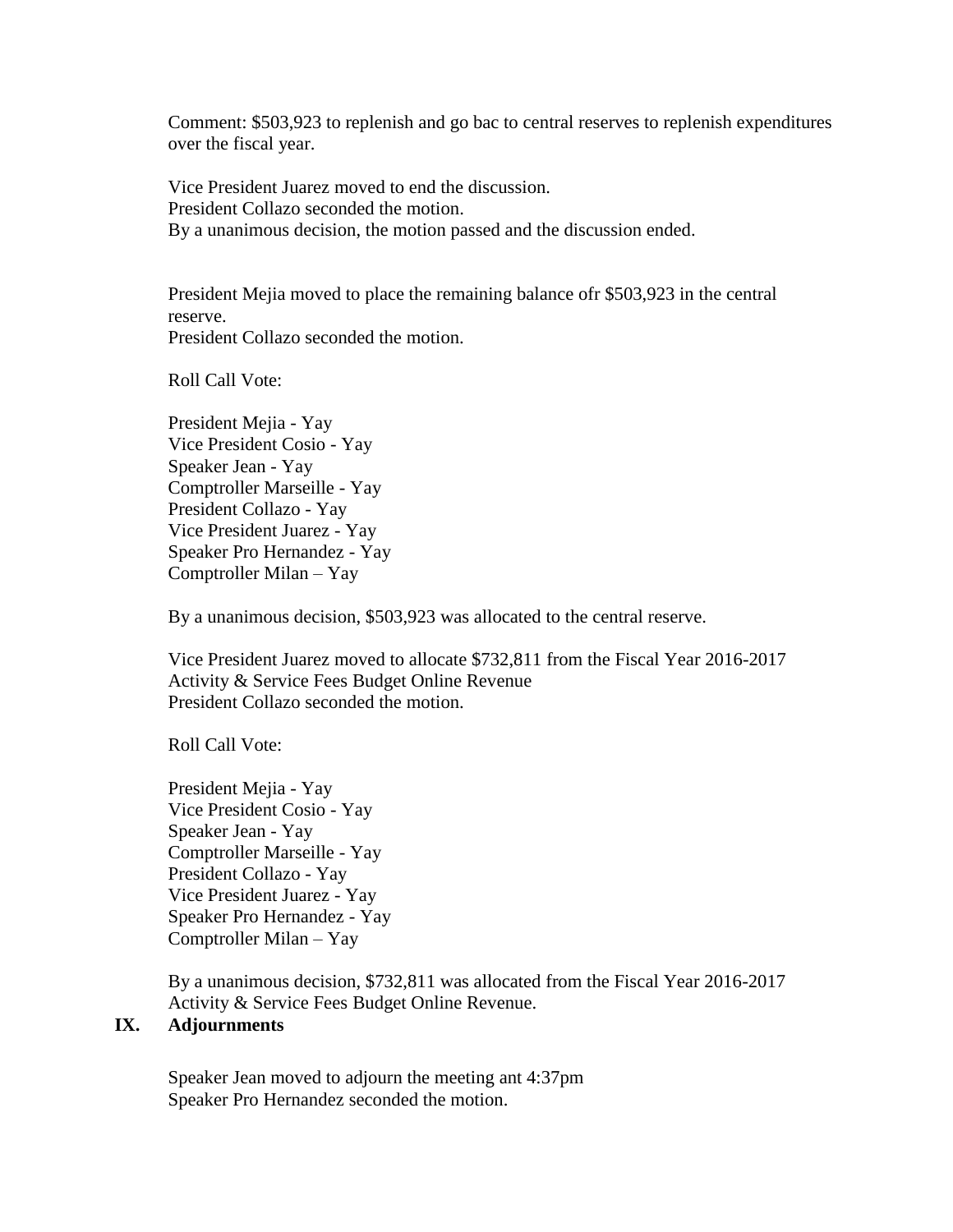Comment: \$503,923 to replenish and go bac to central reserves to replenish expenditures over the fiscal year.

Vice President Juarez moved to end the discussion. President Collazo seconded the motion. By a unanimous decision, the motion passed and the discussion ended.

President Mejia moved to place the remaining balance ofr \$503,923 in the central reserve. President Collazo seconded the motion.

Roll Call Vote:

President Mejia - Yay Vice President Cosio - Yay Speaker Jean - Yay Comptroller Marseille - Yay President Collazo - Yay Vice President Juarez - Yay Speaker Pro Hernandez - Yay Comptroller Milan – Yay

By a unanimous decision, \$503,923 was allocated to the central reserve.

Vice President Juarez moved to allocate \$732,811 from the Fiscal Year 2016-2017 Activity & Service Fees Budget Online Revenue President Collazo seconded the motion.

Roll Call Vote:

President Mejia - Yay Vice President Cosio - Yay Speaker Jean - Yay Comptroller Marseille - Yay President Collazo - Yay Vice President Juarez - Yay Speaker Pro Hernandez - Yay Comptroller Milan – Yay

By a unanimous decision, \$732,811 was allocated from the Fiscal Year 2016-2017 Activity & Service Fees Budget Online Revenue.

# **IX. Adjournments**

Speaker Jean moved to adjourn the meeting ant 4:37pm Speaker Pro Hernandez seconded the motion.